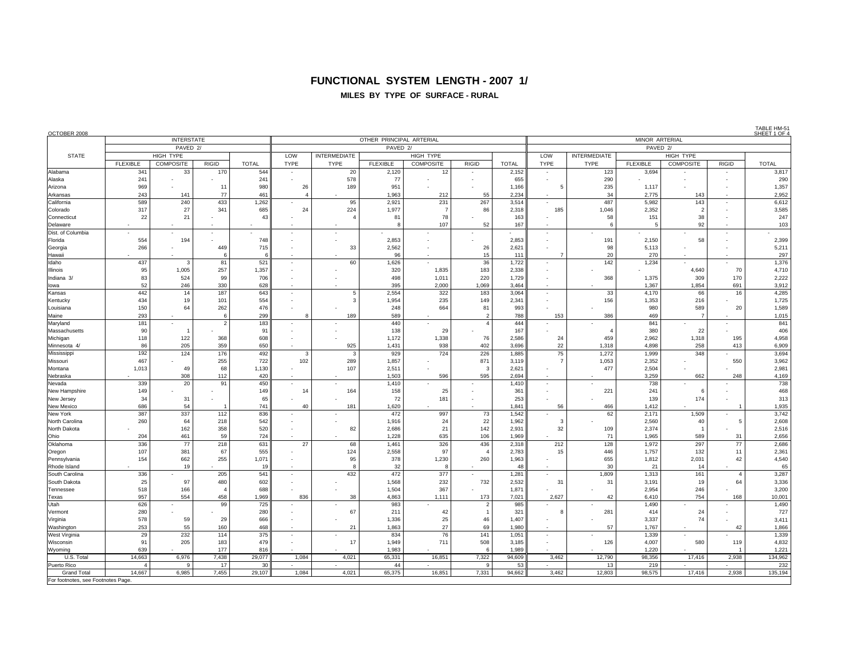## **FUNCTIONAL SYSTEM LENGTH - 2007 1/**

#### **MILES BY TYPE OF SURFACE - RURAL**

| <b>INTERSTATE</b><br>OTHER PRINCIPAL ARTERIAL<br>PAVED <sub>2/</sub><br>PAVED 2/<br>PAVED <sub>2/</sub><br>LOW<br><b>INTERMEDIATE</b><br><b>INTERMEDIATE</b><br><b>STATE</b><br><b>HIGH TYPE</b><br>HIGH TYPE<br>LOW<br>HIGH TYPE<br><b>FLEXIBLE</b><br>COMPOSITE<br><b>RIGID</b><br>COMPOSITE<br><b>RIGID</b><br>COMPOSITE<br><b>RIGID</b><br><b>TOTAL</b><br><b>TYPE</b><br>TYPE<br><b>FLEXIBLE</b><br><b>TOTAL</b><br><b>TYPE</b><br><b>TYPE</b><br><b>FLEXIBLE</b><br><b>TOTAL</b><br>3,817<br>544<br>341<br>33<br>170<br>20<br>2,120<br>2,152<br>123<br>3,694<br>12<br>$\overline{a}$<br>241<br>578<br>77<br>290<br>290<br>241<br>655<br>٠<br>$\overline{\phantom{a}}$<br>969<br>1,357<br>980<br>26<br>189<br>951<br>5<br>235<br>11<br>1,166<br>1,117<br>243<br>141<br>77<br>461<br>1,963<br>55<br>2.234<br>34<br>2,775<br>2,952<br>$\overline{a}$<br>212<br>143<br>$\sim$<br>$\overline{\phantom{a}}$<br>589<br>240<br>433<br>1,262<br>95<br>2,921<br>231<br>267<br>3,514<br>487<br>143<br>6,612<br>5,982<br>$\overline{a}$<br>317<br>24<br>3,585<br>27<br>341<br>685<br>224<br>1,977<br>86<br>2,318<br>185<br>1,046<br>2,352<br>$\overline{2}$<br>$\overline{7}$<br>$\overline{\phantom{a}}$<br>22<br>21<br>43<br>81<br>78<br>163<br>58<br>151<br>38<br>247<br>107<br>52<br>167<br>92<br>103<br>-6<br>-5<br>$\mathbf{R}$<br>$\overline{\phantom{a}}$<br>$\overline{\phantom{a}}$<br>2,399<br>554<br>194<br>748<br>2,853<br>2,853<br>191<br>2,150<br>58<br>266<br>449<br>715<br>2,562<br>98<br>5,211<br>33<br>26<br>2,621<br>5,113<br>20<br>297<br>96<br>15<br>111<br>270<br>6<br>-6<br>36<br>1,376<br>Idaho<br>437<br>81<br>521<br>60<br>1,626<br>1,722<br>142<br>1,234<br>3<br>$\overline{a}$<br>95<br>1,005<br>257<br>1,835<br>183<br>2,338<br>70<br>4,710<br><b>Illinois</b><br>1,357<br>320<br>4,640<br>$\overline{\phantom{a}}$<br>83<br>Indiana 3/<br>524<br>99<br>706<br>498<br>1,011<br>220<br>1,729<br>368<br>1,375<br>309<br>170<br>2,222<br>52<br>246<br>330<br>628<br>395<br>2,000<br>1,069<br>3,464<br>1,854<br>691<br>3,912<br>1,367<br>lowa<br>442<br>14<br>187<br>643<br>2.554<br>322<br>3.064<br>33<br>66<br>16<br>4,285<br>Kansas<br>183<br>4,170<br>$\sim$<br>5<br>$\overline{\phantom{a}}$<br>434<br>19<br>554<br>1,954<br>235<br>149<br>2,341<br>156<br>1,353<br>216<br>1,725<br>Kentucky<br>101<br>150<br>64<br>262<br>476<br>248<br>664<br>81<br>993<br>980<br>589<br>20<br>1,589<br>Louisiana<br>293<br>299<br>189<br>589<br>153<br>386<br>469<br>1,015<br>Maine<br>$\overline{2}$<br>788<br>6<br>-7<br>841<br>440<br>181<br>2<br>183<br>$\overline{4}$<br>444<br>841<br>Maryland<br>$\overline{\phantom{a}}$<br>$\sim$<br>$\sim$<br>406<br>91<br>138<br>29<br>167<br>380<br>22<br>Massachusetts<br>90<br>608<br>1,172<br>1,338<br>76<br>459<br>2,962<br>4,958<br>Michigan<br>118<br>122<br>368<br>2,586<br>24<br>1,318<br>195<br>938<br>22<br>86<br>205<br>359<br>650<br>925<br>1,431<br>402<br>3,696<br>258<br>6,909<br>1,318<br>4,898<br>413<br>Minnesota 4/<br>226<br>75<br>3,694<br>192<br>124<br>176<br>492<br>929<br>724<br>1,885<br>1,272<br>348<br>1,999<br>Mississippi<br>3<br>-3<br>722<br>467<br>255<br>102<br>1,857<br>871<br>1,053<br>3,962<br>Missouri<br>289<br>3,119<br>2,352<br>550<br>68<br>1,130<br>477<br>2,981<br>1,013<br>49<br>107<br>2,511<br>$\mathcal{A}$<br>2.621<br>2,504<br>Montana<br>٠<br>308<br>420<br>1,503<br>595<br>2.694<br>3,259<br>4,169<br>112<br>596<br>662<br>248<br>Nebraska<br>738<br>339<br>20<br>450<br>1,410<br>91<br>1,410<br>738<br>Nevada<br>$\overline{\phantom{a}}$<br>468<br>149<br>25<br>361<br>22 <sup>1</sup><br>149<br>14<br>164<br>158<br>241<br>New Hampshire<br>$\epsilon$<br>$\overline{\phantom{a}}$<br>34<br>65<br>72<br>253<br>139<br>174<br>313<br>31<br>181<br>New Jersey<br>686<br>54<br>741<br>40<br>1,620<br>1,841<br>56<br>1,935<br>181<br>466<br>1,412<br><b>New Mexico</b><br>$\overline{1}$<br>337<br>112<br>997<br>3,742<br>387<br>836<br>472<br>73<br>1,542<br>62<br>2,171<br>1,509<br>260<br>64<br>542<br>22<br>2,608<br>218<br>1,916<br>24<br>1,962<br>3<br>2,560<br>40<br>5<br>162<br>358<br>520<br>21<br>142<br>32<br>82<br>2,686<br>2,931<br>109<br>2,374<br>2,516<br>-4<br>$\overline{a}$<br>204<br>461<br>59<br>724<br>1,228<br>635<br>106<br>1,969<br>71<br>1,965<br>589<br>31<br>2,656<br>336<br>77<br>218<br>631<br>27<br>68<br>1,461<br>326<br>436<br>2,318<br>212<br>128<br>1,972<br>297<br>77<br>2,686<br>107<br>381<br>67<br>555<br>124<br>2,558<br>97<br>2,783<br>15<br>446<br>1,757<br>132<br>11<br>2,361<br>$\overline{4}$<br>154<br>662<br>255<br>1,071<br>95<br>378<br>1,230<br>260<br>1,963<br>655<br>1,812<br>2,031<br>42<br>4,540<br>19<br>65<br>19<br>32<br>8<br>48<br>30<br>21<br>14<br>$\mathbf{R}$<br>$\overline{a}$<br>$\overline{\phantom{a}}$<br>336<br>205<br>541<br>432<br>472<br>377<br>1,281<br>1,809<br>161<br>3,287<br>1,313<br>$\overline{4}$<br>25<br>97<br>480<br>602<br>1,568<br>232<br>732<br>2,532<br>31<br>31<br>19<br>64<br>3,336<br>3,191<br>518<br>166<br>688<br>1,504<br>367<br>1.871<br>2,954<br>246<br>3,200<br>Tennessee<br>$\boldsymbol{\Delta}$<br>957<br>554<br>458<br>1,969<br>2.627<br>42<br>6,410<br>754<br>10,001<br>836<br>38<br>4,863<br>1,111<br>173<br>7,021<br>168<br>Texas<br>626<br>1,490<br>99<br>725<br>983<br>$\overline{2}$<br>985<br>1,490<br>Utah<br>280<br>280<br>67<br>211<br>42<br>281<br>414<br>24<br>727<br>Vermont<br>321<br>-8<br>$\overline{1}$<br>29<br>46<br>578<br>59<br>666<br>1,336<br>25<br>1,407<br>3,337<br>74<br>3,411<br>Virginia<br>55<br>27<br>253<br>160<br>468<br>21<br>1,863<br>69<br>1.980<br>57<br>1.767<br>42<br>1,866<br>Washington<br>$\sim$<br>232<br>114<br>375<br>76<br>141<br>1,339<br>29<br>834<br>1,051<br>1,339<br>West Virginia<br>$\overline{\phantom{a}}$<br>205<br>479<br>711<br>4,832<br>Wisconsin<br>91<br>183<br>17<br>1.949<br>508<br>3,185<br>126<br>4,007<br>580<br>119<br>$\overline{\phantom{a}}$<br>639<br>177<br>816<br>1.983<br>1.989<br>1.220<br>1,221<br>Wyoming<br>$\epsilon$<br>14,663<br>29,077<br>1,084<br>65,331<br>16,851<br>7,322<br>94,609<br>3,462<br>134,962<br>U.S. Total<br>6,976<br>7,438<br>4,021<br>12,790<br>98,356<br>17,416<br>2,938<br>232<br>Puerto Rico<br>17<br>30<br>44<br>53<br>13<br>219<br>$\overline{4}$<br>q<br>q<br>14,667<br>6,985<br>7,455<br>29,107<br>1,084<br>4,021<br>65,375<br>16,851<br>7,331<br>94,662<br>3,462<br>12,803<br>98,575<br>17,416<br>2,938<br>135,194<br><b>Grand Total</b><br>For footnotes, see Footnotes Page | OCTOBER 2008      |  |  |  |  |  |  |  |  |  |                |  |  |  | TABLE HM-5<br>SHEET 1 OF |  |  |  |  |
|-------------------------------------------------------------------------------------------------------------------------------------------------------------------------------------------------------------------------------------------------------------------------------------------------------------------------------------------------------------------------------------------------------------------------------------------------------------------------------------------------------------------------------------------------------------------------------------------------------------------------------------------------------------------------------------------------------------------------------------------------------------------------------------------------------------------------------------------------------------------------------------------------------------------------------------------------------------------------------------------------------------------------------------------------------------------------------------------------------------------------------------------------------------------------------------------------------------------------------------------------------------------------------------------------------------------------------------------------------------------------------------------------------------------------------------------------------------------------------------------------------------------------------------------------------------------------------------------------------------------------------------------------------------------------------------------------------------------------------------------------------------------------------------------------------------------------------------------------------------------------------------------------------------------------------------------------------------------------------------------------------------------------------------------------------------------------------------------------------------------------------------------------------------------------------------------------------------------------------------------------------------------------------------------------------------------------------------------------------------------------------------------------------------------------------------------------------------------------------------------------------------------------------------------------------------------------------------------------------------------------------------------------------------------------------------------------------------------------------------------------------------------------------------------------------------------------------------------------------------------------------------------------------------------------------------------------------------------------------------------------------------------------------------------------------------------------------------------------------------------------------------------------------------------------------------------------------------------------------------------------------------------------------------------------------------------------------------------------------------------------------------------------------------------------------------------------------------------------------------------------------------------------------------------------------------------------------------------------------------------------------------------------------------------------------------------------------------------------------------------------------------------------------------------------------------------------------------------------------------------------------------------------------------------------------------------------------------------------------------------------------------------------------------------------------------------------------------------------------------------------------------------------------------------------------------------------------------------------------------------------------------------------------------------------------------------------------------------------------------------------------------------------------------------------------------------------------------------------------------------------------------------------------------------------------------------------------------------------------------------------------------------------------------------------------------------------------------------------------------------------------------------------------------------------------------------------------------------------------------------------------------------------------------------------------------------------------------------------------------------------------------------------------------------------------------------------------------------------------------------------------------------------------------------------------------------------------------------------------------------------------------------------------------------------------------------------------------------------------------------------------------------------------------------------------------------------------------------------------------------------------------------------------------------------------------------------------------------------------------------------------------------------------------------------------------------------------------------------------------------------------------------------------------------------------------------------------------------------------------------------------------------------------------------------------------------------------------------------------------------------------------------------------------------------------------------------------------------------------------------------------------------------------------------------------------------------------------------------------------------------------------------------------------------------------------------------------------------------------------------------------------------------------------------------------------------------------------------------------------------------------|-------------------|--|--|--|--|--|--|--|--|--|----------------|--|--|--|--------------------------|--|--|--|--|
|                                                                                                                                                                                                                                                                                                                                                                                                                                                                                                                                                                                                                                                                                                                                                                                                                                                                                                                                                                                                                                                                                                                                                                                                                                                                                                                                                                                                                                                                                                                                                                                                                                                                                                                                                                                                                                                                                                                                                                                                                                                                                                                                                                                                                                                                                                                                                                                                                                                                                                                                                                                                                                                                                                                                                                                                                                                                                                                                                                                                                                                                                                                                                                                                                                                                                                                                                                                                                                                                                                                                                                                                                                                                                                                                                                                                                                                                                                                                                                                                                                                                                                                                                                                                                                                                                                                                                                                                                                                                                                                                                                                                                                                                                                                                                                                                                                                                                                                                                                                                                                                                                                                                                                                                                                                                                                                                                                                                                                                                                                                                                                                                                                                                                                                                                                                                                                                                                                                                                                                                                                                                                                                                                                                                                                                                                                                                                                                                                                                                                                       |                   |  |  |  |  |  |  |  |  |  | MINOR ARTERIAL |  |  |  |                          |  |  |  |  |
|                                                                                                                                                                                                                                                                                                                                                                                                                                                                                                                                                                                                                                                                                                                                                                                                                                                                                                                                                                                                                                                                                                                                                                                                                                                                                                                                                                                                                                                                                                                                                                                                                                                                                                                                                                                                                                                                                                                                                                                                                                                                                                                                                                                                                                                                                                                                                                                                                                                                                                                                                                                                                                                                                                                                                                                                                                                                                                                                                                                                                                                                                                                                                                                                                                                                                                                                                                                                                                                                                                                                                                                                                                                                                                                                                                                                                                                                                                                                                                                                                                                                                                                                                                                                                                                                                                                                                                                                                                                                                                                                                                                                                                                                                                                                                                                                                                                                                                                                                                                                                                                                                                                                                                                                                                                                                                                                                                                                                                                                                                                                                                                                                                                                                                                                                                                                                                                                                                                                                                                                                                                                                                                                                                                                                                                                                                                                                                                                                                                                                                       |                   |  |  |  |  |  |  |  |  |  |                |  |  |  |                          |  |  |  |  |
|                                                                                                                                                                                                                                                                                                                                                                                                                                                                                                                                                                                                                                                                                                                                                                                                                                                                                                                                                                                                                                                                                                                                                                                                                                                                                                                                                                                                                                                                                                                                                                                                                                                                                                                                                                                                                                                                                                                                                                                                                                                                                                                                                                                                                                                                                                                                                                                                                                                                                                                                                                                                                                                                                                                                                                                                                                                                                                                                                                                                                                                                                                                                                                                                                                                                                                                                                                                                                                                                                                                                                                                                                                                                                                                                                                                                                                                                                                                                                                                                                                                                                                                                                                                                                                                                                                                                                                                                                                                                                                                                                                                                                                                                                                                                                                                                                                                                                                                                                                                                                                                                                                                                                                                                                                                                                                                                                                                                                                                                                                                                                                                                                                                                                                                                                                                                                                                                                                                                                                                                                                                                                                                                                                                                                                                                                                                                                                                                                                                                                                       |                   |  |  |  |  |  |  |  |  |  |                |  |  |  |                          |  |  |  |  |
|                                                                                                                                                                                                                                                                                                                                                                                                                                                                                                                                                                                                                                                                                                                                                                                                                                                                                                                                                                                                                                                                                                                                                                                                                                                                                                                                                                                                                                                                                                                                                                                                                                                                                                                                                                                                                                                                                                                                                                                                                                                                                                                                                                                                                                                                                                                                                                                                                                                                                                                                                                                                                                                                                                                                                                                                                                                                                                                                                                                                                                                                                                                                                                                                                                                                                                                                                                                                                                                                                                                                                                                                                                                                                                                                                                                                                                                                                                                                                                                                                                                                                                                                                                                                                                                                                                                                                                                                                                                                                                                                                                                                                                                                                                                                                                                                                                                                                                                                                                                                                                                                                                                                                                                                                                                                                                                                                                                                                                                                                                                                                                                                                                                                                                                                                                                                                                                                                                                                                                                                                                                                                                                                                                                                                                                                                                                                                                                                                                                                                                       |                   |  |  |  |  |  |  |  |  |  |                |  |  |  |                          |  |  |  |  |
|                                                                                                                                                                                                                                                                                                                                                                                                                                                                                                                                                                                                                                                                                                                                                                                                                                                                                                                                                                                                                                                                                                                                                                                                                                                                                                                                                                                                                                                                                                                                                                                                                                                                                                                                                                                                                                                                                                                                                                                                                                                                                                                                                                                                                                                                                                                                                                                                                                                                                                                                                                                                                                                                                                                                                                                                                                                                                                                                                                                                                                                                                                                                                                                                                                                                                                                                                                                                                                                                                                                                                                                                                                                                                                                                                                                                                                                                                                                                                                                                                                                                                                                                                                                                                                                                                                                                                                                                                                                                                                                                                                                                                                                                                                                                                                                                                                                                                                                                                                                                                                                                                                                                                                                                                                                                                                                                                                                                                                                                                                                                                                                                                                                                                                                                                                                                                                                                                                                                                                                                                                                                                                                                                                                                                                                                                                                                                                                                                                                                                                       | Alabama           |  |  |  |  |  |  |  |  |  |                |  |  |  |                          |  |  |  |  |
|                                                                                                                                                                                                                                                                                                                                                                                                                                                                                                                                                                                                                                                                                                                                                                                                                                                                                                                                                                                                                                                                                                                                                                                                                                                                                                                                                                                                                                                                                                                                                                                                                                                                                                                                                                                                                                                                                                                                                                                                                                                                                                                                                                                                                                                                                                                                                                                                                                                                                                                                                                                                                                                                                                                                                                                                                                                                                                                                                                                                                                                                                                                                                                                                                                                                                                                                                                                                                                                                                                                                                                                                                                                                                                                                                                                                                                                                                                                                                                                                                                                                                                                                                                                                                                                                                                                                                                                                                                                                                                                                                                                                                                                                                                                                                                                                                                                                                                                                                                                                                                                                                                                                                                                                                                                                                                                                                                                                                                                                                                                                                                                                                                                                                                                                                                                                                                                                                                                                                                                                                                                                                                                                                                                                                                                                                                                                                                                                                                                                                                       | Alaska            |  |  |  |  |  |  |  |  |  |                |  |  |  |                          |  |  |  |  |
|                                                                                                                                                                                                                                                                                                                                                                                                                                                                                                                                                                                                                                                                                                                                                                                                                                                                                                                                                                                                                                                                                                                                                                                                                                                                                                                                                                                                                                                                                                                                                                                                                                                                                                                                                                                                                                                                                                                                                                                                                                                                                                                                                                                                                                                                                                                                                                                                                                                                                                                                                                                                                                                                                                                                                                                                                                                                                                                                                                                                                                                                                                                                                                                                                                                                                                                                                                                                                                                                                                                                                                                                                                                                                                                                                                                                                                                                                                                                                                                                                                                                                                                                                                                                                                                                                                                                                                                                                                                                                                                                                                                                                                                                                                                                                                                                                                                                                                                                                                                                                                                                                                                                                                                                                                                                                                                                                                                                                                                                                                                                                                                                                                                                                                                                                                                                                                                                                                                                                                                                                                                                                                                                                                                                                                                                                                                                                                                                                                                                                                       | Arizona           |  |  |  |  |  |  |  |  |  |                |  |  |  |                          |  |  |  |  |
|                                                                                                                                                                                                                                                                                                                                                                                                                                                                                                                                                                                                                                                                                                                                                                                                                                                                                                                                                                                                                                                                                                                                                                                                                                                                                                                                                                                                                                                                                                                                                                                                                                                                                                                                                                                                                                                                                                                                                                                                                                                                                                                                                                                                                                                                                                                                                                                                                                                                                                                                                                                                                                                                                                                                                                                                                                                                                                                                                                                                                                                                                                                                                                                                                                                                                                                                                                                                                                                                                                                                                                                                                                                                                                                                                                                                                                                                                                                                                                                                                                                                                                                                                                                                                                                                                                                                                                                                                                                                                                                                                                                                                                                                                                                                                                                                                                                                                                                                                                                                                                                                                                                                                                                                                                                                                                                                                                                                                                                                                                                                                                                                                                                                                                                                                                                                                                                                                                                                                                                                                                                                                                                                                                                                                                                                                                                                                                                                                                                                                                       | Arkansas          |  |  |  |  |  |  |  |  |  |                |  |  |  |                          |  |  |  |  |
|                                                                                                                                                                                                                                                                                                                                                                                                                                                                                                                                                                                                                                                                                                                                                                                                                                                                                                                                                                                                                                                                                                                                                                                                                                                                                                                                                                                                                                                                                                                                                                                                                                                                                                                                                                                                                                                                                                                                                                                                                                                                                                                                                                                                                                                                                                                                                                                                                                                                                                                                                                                                                                                                                                                                                                                                                                                                                                                                                                                                                                                                                                                                                                                                                                                                                                                                                                                                                                                                                                                                                                                                                                                                                                                                                                                                                                                                                                                                                                                                                                                                                                                                                                                                                                                                                                                                                                                                                                                                                                                                                                                                                                                                                                                                                                                                                                                                                                                                                                                                                                                                                                                                                                                                                                                                                                                                                                                                                                                                                                                                                                                                                                                                                                                                                                                                                                                                                                                                                                                                                                                                                                                                                                                                                                                                                                                                                                                                                                                                                                       | California        |  |  |  |  |  |  |  |  |  |                |  |  |  |                          |  |  |  |  |
|                                                                                                                                                                                                                                                                                                                                                                                                                                                                                                                                                                                                                                                                                                                                                                                                                                                                                                                                                                                                                                                                                                                                                                                                                                                                                                                                                                                                                                                                                                                                                                                                                                                                                                                                                                                                                                                                                                                                                                                                                                                                                                                                                                                                                                                                                                                                                                                                                                                                                                                                                                                                                                                                                                                                                                                                                                                                                                                                                                                                                                                                                                                                                                                                                                                                                                                                                                                                                                                                                                                                                                                                                                                                                                                                                                                                                                                                                                                                                                                                                                                                                                                                                                                                                                                                                                                                                                                                                                                                                                                                                                                                                                                                                                                                                                                                                                                                                                                                                                                                                                                                                                                                                                                                                                                                                                                                                                                                                                                                                                                                                                                                                                                                                                                                                                                                                                                                                                                                                                                                                                                                                                                                                                                                                                                                                                                                                                                                                                                                                                       | Colorado          |  |  |  |  |  |  |  |  |  |                |  |  |  |                          |  |  |  |  |
|                                                                                                                                                                                                                                                                                                                                                                                                                                                                                                                                                                                                                                                                                                                                                                                                                                                                                                                                                                                                                                                                                                                                                                                                                                                                                                                                                                                                                                                                                                                                                                                                                                                                                                                                                                                                                                                                                                                                                                                                                                                                                                                                                                                                                                                                                                                                                                                                                                                                                                                                                                                                                                                                                                                                                                                                                                                                                                                                                                                                                                                                                                                                                                                                                                                                                                                                                                                                                                                                                                                                                                                                                                                                                                                                                                                                                                                                                                                                                                                                                                                                                                                                                                                                                                                                                                                                                                                                                                                                                                                                                                                                                                                                                                                                                                                                                                                                                                                                                                                                                                                                                                                                                                                                                                                                                                                                                                                                                                                                                                                                                                                                                                                                                                                                                                                                                                                                                                                                                                                                                                                                                                                                                                                                                                                                                                                                                                                                                                                                                                       | Connecticut       |  |  |  |  |  |  |  |  |  |                |  |  |  |                          |  |  |  |  |
|                                                                                                                                                                                                                                                                                                                                                                                                                                                                                                                                                                                                                                                                                                                                                                                                                                                                                                                                                                                                                                                                                                                                                                                                                                                                                                                                                                                                                                                                                                                                                                                                                                                                                                                                                                                                                                                                                                                                                                                                                                                                                                                                                                                                                                                                                                                                                                                                                                                                                                                                                                                                                                                                                                                                                                                                                                                                                                                                                                                                                                                                                                                                                                                                                                                                                                                                                                                                                                                                                                                                                                                                                                                                                                                                                                                                                                                                                                                                                                                                                                                                                                                                                                                                                                                                                                                                                                                                                                                                                                                                                                                                                                                                                                                                                                                                                                                                                                                                                                                                                                                                                                                                                                                                                                                                                                                                                                                                                                                                                                                                                                                                                                                                                                                                                                                                                                                                                                                                                                                                                                                                                                                                                                                                                                                                                                                                                                                                                                                                                                       | Delaware          |  |  |  |  |  |  |  |  |  |                |  |  |  |                          |  |  |  |  |
|                                                                                                                                                                                                                                                                                                                                                                                                                                                                                                                                                                                                                                                                                                                                                                                                                                                                                                                                                                                                                                                                                                                                                                                                                                                                                                                                                                                                                                                                                                                                                                                                                                                                                                                                                                                                                                                                                                                                                                                                                                                                                                                                                                                                                                                                                                                                                                                                                                                                                                                                                                                                                                                                                                                                                                                                                                                                                                                                                                                                                                                                                                                                                                                                                                                                                                                                                                                                                                                                                                                                                                                                                                                                                                                                                                                                                                                                                                                                                                                                                                                                                                                                                                                                                                                                                                                                                                                                                                                                                                                                                                                                                                                                                                                                                                                                                                                                                                                                                                                                                                                                                                                                                                                                                                                                                                                                                                                                                                                                                                                                                                                                                                                                                                                                                                                                                                                                                                                                                                                                                                                                                                                                                                                                                                                                                                                                                                                                                                                                                                       | Dist. of Columbia |  |  |  |  |  |  |  |  |  |                |  |  |  |                          |  |  |  |  |
|                                                                                                                                                                                                                                                                                                                                                                                                                                                                                                                                                                                                                                                                                                                                                                                                                                                                                                                                                                                                                                                                                                                                                                                                                                                                                                                                                                                                                                                                                                                                                                                                                                                                                                                                                                                                                                                                                                                                                                                                                                                                                                                                                                                                                                                                                                                                                                                                                                                                                                                                                                                                                                                                                                                                                                                                                                                                                                                                                                                                                                                                                                                                                                                                                                                                                                                                                                                                                                                                                                                                                                                                                                                                                                                                                                                                                                                                                                                                                                                                                                                                                                                                                                                                                                                                                                                                                                                                                                                                                                                                                                                                                                                                                                                                                                                                                                                                                                                                                                                                                                                                                                                                                                                                                                                                                                                                                                                                                                                                                                                                                                                                                                                                                                                                                                                                                                                                                                                                                                                                                                                                                                                                                                                                                                                                                                                                                                                                                                                                                                       | Florida           |  |  |  |  |  |  |  |  |  |                |  |  |  |                          |  |  |  |  |
|                                                                                                                                                                                                                                                                                                                                                                                                                                                                                                                                                                                                                                                                                                                                                                                                                                                                                                                                                                                                                                                                                                                                                                                                                                                                                                                                                                                                                                                                                                                                                                                                                                                                                                                                                                                                                                                                                                                                                                                                                                                                                                                                                                                                                                                                                                                                                                                                                                                                                                                                                                                                                                                                                                                                                                                                                                                                                                                                                                                                                                                                                                                                                                                                                                                                                                                                                                                                                                                                                                                                                                                                                                                                                                                                                                                                                                                                                                                                                                                                                                                                                                                                                                                                                                                                                                                                                                                                                                                                                                                                                                                                                                                                                                                                                                                                                                                                                                                                                                                                                                                                                                                                                                                                                                                                                                                                                                                                                                                                                                                                                                                                                                                                                                                                                                                                                                                                                                                                                                                                                                                                                                                                                                                                                                                                                                                                                                                                                                                                                                       | Georgia           |  |  |  |  |  |  |  |  |  |                |  |  |  |                          |  |  |  |  |
|                                                                                                                                                                                                                                                                                                                                                                                                                                                                                                                                                                                                                                                                                                                                                                                                                                                                                                                                                                                                                                                                                                                                                                                                                                                                                                                                                                                                                                                                                                                                                                                                                                                                                                                                                                                                                                                                                                                                                                                                                                                                                                                                                                                                                                                                                                                                                                                                                                                                                                                                                                                                                                                                                                                                                                                                                                                                                                                                                                                                                                                                                                                                                                                                                                                                                                                                                                                                                                                                                                                                                                                                                                                                                                                                                                                                                                                                                                                                                                                                                                                                                                                                                                                                                                                                                                                                                                                                                                                                                                                                                                                                                                                                                                                                                                                                                                                                                                                                                                                                                                                                                                                                                                                                                                                                                                                                                                                                                                                                                                                                                                                                                                                                                                                                                                                                                                                                                                                                                                                                                                                                                                                                                                                                                                                                                                                                                                                                                                                                                                       | Hawaii            |  |  |  |  |  |  |  |  |  |                |  |  |  |                          |  |  |  |  |
|                                                                                                                                                                                                                                                                                                                                                                                                                                                                                                                                                                                                                                                                                                                                                                                                                                                                                                                                                                                                                                                                                                                                                                                                                                                                                                                                                                                                                                                                                                                                                                                                                                                                                                                                                                                                                                                                                                                                                                                                                                                                                                                                                                                                                                                                                                                                                                                                                                                                                                                                                                                                                                                                                                                                                                                                                                                                                                                                                                                                                                                                                                                                                                                                                                                                                                                                                                                                                                                                                                                                                                                                                                                                                                                                                                                                                                                                                                                                                                                                                                                                                                                                                                                                                                                                                                                                                                                                                                                                                                                                                                                                                                                                                                                                                                                                                                                                                                                                                                                                                                                                                                                                                                                                                                                                                                                                                                                                                                                                                                                                                                                                                                                                                                                                                                                                                                                                                                                                                                                                                                                                                                                                                                                                                                                                                                                                                                                                                                                                                                       |                   |  |  |  |  |  |  |  |  |  |                |  |  |  |                          |  |  |  |  |
|                                                                                                                                                                                                                                                                                                                                                                                                                                                                                                                                                                                                                                                                                                                                                                                                                                                                                                                                                                                                                                                                                                                                                                                                                                                                                                                                                                                                                                                                                                                                                                                                                                                                                                                                                                                                                                                                                                                                                                                                                                                                                                                                                                                                                                                                                                                                                                                                                                                                                                                                                                                                                                                                                                                                                                                                                                                                                                                                                                                                                                                                                                                                                                                                                                                                                                                                                                                                                                                                                                                                                                                                                                                                                                                                                                                                                                                                                                                                                                                                                                                                                                                                                                                                                                                                                                                                                                                                                                                                                                                                                                                                                                                                                                                                                                                                                                                                                                                                                                                                                                                                                                                                                                                                                                                                                                                                                                                                                                                                                                                                                                                                                                                                                                                                                                                                                                                                                                                                                                                                                                                                                                                                                                                                                                                                                                                                                                                                                                                                                                       |                   |  |  |  |  |  |  |  |  |  |                |  |  |  |                          |  |  |  |  |
|                                                                                                                                                                                                                                                                                                                                                                                                                                                                                                                                                                                                                                                                                                                                                                                                                                                                                                                                                                                                                                                                                                                                                                                                                                                                                                                                                                                                                                                                                                                                                                                                                                                                                                                                                                                                                                                                                                                                                                                                                                                                                                                                                                                                                                                                                                                                                                                                                                                                                                                                                                                                                                                                                                                                                                                                                                                                                                                                                                                                                                                                                                                                                                                                                                                                                                                                                                                                                                                                                                                                                                                                                                                                                                                                                                                                                                                                                                                                                                                                                                                                                                                                                                                                                                                                                                                                                                                                                                                                                                                                                                                                                                                                                                                                                                                                                                                                                                                                                                                                                                                                                                                                                                                                                                                                                                                                                                                                                                                                                                                                                                                                                                                                                                                                                                                                                                                                                                                                                                                                                                                                                                                                                                                                                                                                                                                                                                                                                                                                                                       |                   |  |  |  |  |  |  |  |  |  |                |  |  |  |                          |  |  |  |  |
|                                                                                                                                                                                                                                                                                                                                                                                                                                                                                                                                                                                                                                                                                                                                                                                                                                                                                                                                                                                                                                                                                                                                                                                                                                                                                                                                                                                                                                                                                                                                                                                                                                                                                                                                                                                                                                                                                                                                                                                                                                                                                                                                                                                                                                                                                                                                                                                                                                                                                                                                                                                                                                                                                                                                                                                                                                                                                                                                                                                                                                                                                                                                                                                                                                                                                                                                                                                                                                                                                                                                                                                                                                                                                                                                                                                                                                                                                                                                                                                                                                                                                                                                                                                                                                                                                                                                                                                                                                                                                                                                                                                                                                                                                                                                                                                                                                                                                                                                                                                                                                                                                                                                                                                                                                                                                                                                                                                                                                                                                                                                                                                                                                                                                                                                                                                                                                                                                                                                                                                                                                                                                                                                                                                                                                                                                                                                                                                                                                                                                                       |                   |  |  |  |  |  |  |  |  |  |                |  |  |  |                          |  |  |  |  |
|                                                                                                                                                                                                                                                                                                                                                                                                                                                                                                                                                                                                                                                                                                                                                                                                                                                                                                                                                                                                                                                                                                                                                                                                                                                                                                                                                                                                                                                                                                                                                                                                                                                                                                                                                                                                                                                                                                                                                                                                                                                                                                                                                                                                                                                                                                                                                                                                                                                                                                                                                                                                                                                                                                                                                                                                                                                                                                                                                                                                                                                                                                                                                                                                                                                                                                                                                                                                                                                                                                                                                                                                                                                                                                                                                                                                                                                                                                                                                                                                                                                                                                                                                                                                                                                                                                                                                                                                                                                                                                                                                                                                                                                                                                                                                                                                                                                                                                                                                                                                                                                                                                                                                                                                                                                                                                                                                                                                                                                                                                                                                                                                                                                                                                                                                                                                                                                                                                                                                                                                                                                                                                                                                                                                                                                                                                                                                                                                                                                                                                       |                   |  |  |  |  |  |  |  |  |  |                |  |  |  |                          |  |  |  |  |
|                                                                                                                                                                                                                                                                                                                                                                                                                                                                                                                                                                                                                                                                                                                                                                                                                                                                                                                                                                                                                                                                                                                                                                                                                                                                                                                                                                                                                                                                                                                                                                                                                                                                                                                                                                                                                                                                                                                                                                                                                                                                                                                                                                                                                                                                                                                                                                                                                                                                                                                                                                                                                                                                                                                                                                                                                                                                                                                                                                                                                                                                                                                                                                                                                                                                                                                                                                                                                                                                                                                                                                                                                                                                                                                                                                                                                                                                                                                                                                                                                                                                                                                                                                                                                                                                                                                                                                                                                                                                                                                                                                                                                                                                                                                                                                                                                                                                                                                                                                                                                                                                                                                                                                                                                                                                                                                                                                                                                                                                                                                                                                                                                                                                                                                                                                                                                                                                                                                                                                                                                                                                                                                                                                                                                                                                                                                                                                                                                                                                                                       |                   |  |  |  |  |  |  |  |  |  |                |  |  |  |                          |  |  |  |  |
|                                                                                                                                                                                                                                                                                                                                                                                                                                                                                                                                                                                                                                                                                                                                                                                                                                                                                                                                                                                                                                                                                                                                                                                                                                                                                                                                                                                                                                                                                                                                                                                                                                                                                                                                                                                                                                                                                                                                                                                                                                                                                                                                                                                                                                                                                                                                                                                                                                                                                                                                                                                                                                                                                                                                                                                                                                                                                                                                                                                                                                                                                                                                                                                                                                                                                                                                                                                                                                                                                                                                                                                                                                                                                                                                                                                                                                                                                                                                                                                                                                                                                                                                                                                                                                                                                                                                                                                                                                                                                                                                                                                                                                                                                                                                                                                                                                                                                                                                                                                                                                                                                                                                                                                                                                                                                                                                                                                                                                                                                                                                                                                                                                                                                                                                                                                                                                                                                                                                                                                                                                                                                                                                                                                                                                                                                                                                                                                                                                                                                                       |                   |  |  |  |  |  |  |  |  |  |                |  |  |  |                          |  |  |  |  |
|                                                                                                                                                                                                                                                                                                                                                                                                                                                                                                                                                                                                                                                                                                                                                                                                                                                                                                                                                                                                                                                                                                                                                                                                                                                                                                                                                                                                                                                                                                                                                                                                                                                                                                                                                                                                                                                                                                                                                                                                                                                                                                                                                                                                                                                                                                                                                                                                                                                                                                                                                                                                                                                                                                                                                                                                                                                                                                                                                                                                                                                                                                                                                                                                                                                                                                                                                                                                                                                                                                                                                                                                                                                                                                                                                                                                                                                                                                                                                                                                                                                                                                                                                                                                                                                                                                                                                                                                                                                                                                                                                                                                                                                                                                                                                                                                                                                                                                                                                                                                                                                                                                                                                                                                                                                                                                                                                                                                                                                                                                                                                                                                                                                                                                                                                                                                                                                                                                                                                                                                                                                                                                                                                                                                                                                                                                                                                                                                                                                                                                       |                   |  |  |  |  |  |  |  |  |  |                |  |  |  |                          |  |  |  |  |
|                                                                                                                                                                                                                                                                                                                                                                                                                                                                                                                                                                                                                                                                                                                                                                                                                                                                                                                                                                                                                                                                                                                                                                                                                                                                                                                                                                                                                                                                                                                                                                                                                                                                                                                                                                                                                                                                                                                                                                                                                                                                                                                                                                                                                                                                                                                                                                                                                                                                                                                                                                                                                                                                                                                                                                                                                                                                                                                                                                                                                                                                                                                                                                                                                                                                                                                                                                                                                                                                                                                                                                                                                                                                                                                                                                                                                                                                                                                                                                                                                                                                                                                                                                                                                                                                                                                                                                                                                                                                                                                                                                                                                                                                                                                                                                                                                                                                                                                                                                                                                                                                                                                                                                                                                                                                                                                                                                                                                                                                                                                                                                                                                                                                                                                                                                                                                                                                                                                                                                                                                                                                                                                                                                                                                                                                                                                                                                                                                                                                                                       |                   |  |  |  |  |  |  |  |  |  |                |  |  |  |                          |  |  |  |  |
|                                                                                                                                                                                                                                                                                                                                                                                                                                                                                                                                                                                                                                                                                                                                                                                                                                                                                                                                                                                                                                                                                                                                                                                                                                                                                                                                                                                                                                                                                                                                                                                                                                                                                                                                                                                                                                                                                                                                                                                                                                                                                                                                                                                                                                                                                                                                                                                                                                                                                                                                                                                                                                                                                                                                                                                                                                                                                                                                                                                                                                                                                                                                                                                                                                                                                                                                                                                                                                                                                                                                                                                                                                                                                                                                                                                                                                                                                                                                                                                                                                                                                                                                                                                                                                                                                                                                                                                                                                                                                                                                                                                                                                                                                                                                                                                                                                                                                                                                                                                                                                                                                                                                                                                                                                                                                                                                                                                                                                                                                                                                                                                                                                                                                                                                                                                                                                                                                                                                                                                                                                                                                                                                                                                                                                                                                                                                                                                                                                                                                                       |                   |  |  |  |  |  |  |  |  |  |                |  |  |  |                          |  |  |  |  |
|                                                                                                                                                                                                                                                                                                                                                                                                                                                                                                                                                                                                                                                                                                                                                                                                                                                                                                                                                                                                                                                                                                                                                                                                                                                                                                                                                                                                                                                                                                                                                                                                                                                                                                                                                                                                                                                                                                                                                                                                                                                                                                                                                                                                                                                                                                                                                                                                                                                                                                                                                                                                                                                                                                                                                                                                                                                                                                                                                                                                                                                                                                                                                                                                                                                                                                                                                                                                                                                                                                                                                                                                                                                                                                                                                                                                                                                                                                                                                                                                                                                                                                                                                                                                                                                                                                                                                                                                                                                                                                                                                                                                                                                                                                                                                                                                                                                                                                                                                                                                                                                                                                                                                                                                                                                                                                                                                                                                                                                                                                                                                                                                                                                                                                                                                                                                                                                                                                                                                                                                                                                                                                                                                                                                                                                                                                                                                                                                                                                                                                       |                   |  |  |  |  |  |  |  |  |  |                |  |  |  |                          |  |  |  |  |
|                                                                                                                                                                                                                                                                                                                                                                                                                                                                                                                                                                                                                                                                                                                                                                                                                                                                                                                                                                                                                                                                                                                                                                                                                                                                                                                                                                                                                                                                                                                                                                                                                                                                                                                                                                                                                                                                                                                                                                                                                                                                                                                                                                                                                                                                                                                                                                                                                                                                                                                                                                                                                                                                                                                                                                                                                                                                                                                                                                                                                                                                                                                                                                                                                                                                                                                                                                                                                                                                                                                                                                                                                                                                                                                                                                                                                                                                                                                                                                                                                                                                                                                                                                                                                                                                                                                                                                                                                                                                                                                                                                                                                                                                                                                                                                                                                                                                                                                                                                                                                                                                                                                                                                                                                                                                                                                                                                                                                                                                                                                                                                                                                                                                                                                                                                                                                                                                                                                                                                                                                                                                                                                                                                                                                                                                                                                                                                                                                                                                                                       |                   |  |  |  |  |  |  |  |  |  |                |  |  |  |                          |  |  |  |  |
|                                                                                                                                                                                                                                                                                                                                                                                                                                                                                                                                                                                                                                                                                                                                                                                                                                                                                                                                                                                                                                                                                                                                                                                                                                                                                                                                                                                                                                                                                                                                                                                                                                                                                                                                                                                                                                                                                                                                                                                                                                                                                                                                                                                                                                                                                                                                                                                                                                                                                                                                                                                                                                                                                                                                                                                                                                                                                                                                                                                                                                                                                                                                                                                                                                                                                                                                                                                                                                                                                                                                                                                                                                                                                                                                                                                                                                                                                                                                                                                                                                                                                                                                                                                                                                                                                                                                                                                                                                                                                                                                                                                                                                                                                                                                                                                                                                                                                                                                                                                                                                                                                                                                                                                                                                                                                                                                                                                                                                                                                                                                                                                                                                                                                                                                                                                                                                                                                                                                                                                                                                                                                                                                                                                                                                                                                                                                                                                                                                                                                                       |                   |  |  |  |  |  |  |  |  |  |                |  |  |  |                          |  |  |  |  |
|                                                                                                                                                                                                                                                                                                                                                                                                                                                                                                                                                                                                                                                                                                                                                                                                                                                                                                                                                                                                                                                                                                                                                                                                                                                                                                                                                                                                                                                                                                                                                                                                                                                                                                                                                                                                                                                                                                                                                                                                                                                                                                                                                                                                                                                                                                                                                                                                                                                                                                                                                                                                                                                                                                                                                                                                                                                                                                                                                                                                                                                                                                                                                                                                                                                                                                                                                                                                                                                                                                                                                                                                                                                                                                                                                                                                                                                                                                                                                                                                                                                                                                                                                                                                                                                                                                                                                                                                                                                                                                                                                                                                                                                                                                                                                                                                                                                                                                                                                                                                                                                                                                                                                                                                                                                                                                                                                                                                                                                                                                                                                                                                                                                                                                                                                                                                                                                                                                                                                                                                                                                                                                                                                                                                                                                                                                                                                                                                                                                                                                       |                   |  |  |  |  |  |  |  |  |  |                |  |  |  |                          |  |  |  |  |
|                                                                                                                                                                                                                                                                                                                                                                                                                                                                                                                                                                                                                                                                                                                                                                                                                                                                                                                                                                                                                                                                                                                                                                                                                                                                                                                                                                                                                                                                                                                                                                                                                                                                                                                                                                                                                                                                                                                                                                                                                                                                                                                                                                                                                                                                                                                                                                                                                                                                                                                                                                                                                                                                                                                                                                                                                                                                                                                                                                                                                                                                                                                                                                                                                                                                                                                                                                                                                                                                                                                                                                                                                                                                                                                                                                                                                                                                                                                                                                                                                                                                                                                                                                                                                                                                                                                                                                                                                                                                                                                                                                                                                                                                                                                                                                                                                                                                                                                                                                                                                                                                                                                                                                                                                                                                                                                                                                                                                                                                                                                                                                                                                                                                                                                                                                                                                                                                                                                                                                                                                                                                                                                                                                                                                                                                                                                                                                                                                                                                                                       |                   |  |  |  |  |  |  |  |  |  |                |  |  |  |                          |  |  |  |  |
|                                                                                                                                                                                                                                                                                                                                                                                                                                                                                                                                                                                                                                                                                                                                                                                                                                                                                                                                                                                                                                                                                                                                                                                                                                                                                                                                                                                                                                                                                                                                                                                                                                                                                                                                                                                                                                                                                                                                                                                                                                                                                                                                                                                                                                                                                                                                                                                                                                                                                                                                                                                                                                                                                                                                                                                                                                                                                                                                                                                                                                                                                                                                                                                                                                                                                                                                                                                                                                                                                                                                                                                                                                                                                                                                                                                                                                                                                                                                                                                                                                                                                                                                                                                                                                                                                                                                                                                                                                                                                                                                                                                                                                                                                                                                                                                                                                                                                                                                                                                                                                                                                                                                                                                                                                                                                                                                                                                                                                                                                                                                                                                                                                                                                                                                                                                                                                                                                                                                                                                                                                                                                                                                                                                                                                                                                                                                                                                                                                                                                                       |                   |  |  |  |  |  |  |  |  |  |                |  |  |  |                          |  |  |  |  |
|                                                                                                                                                                                                                                                                                                                                                                                                                                                                                                                                                                                                                                                                                                                                                                                                                                                                                                                                                                                                                                                                                                                                                                                                                                                                                                                                                                                                                                                                                                                                                                                                                                                                                                                                                                                                                                                                                                                                                                                                                                                                                                                                                                                                                                                                                                                                                                                                                                                                                                                                                                                                                                                                                                                                                                                                                                                                                                                                                                                                                                                                                                                                                                                                                                                                                                                                                                                                                                                                                                                                                                                                                                                                                                                                                                                                                                                                                                                                                                                                                                                                                                                                                                                                                                                                                                                                                                                                                                                                                                                                                                                                                                                                                                                                                                                                                                                                                                                                                                                                                                                                                                                                                                                                                                                                                                                                                                                                                                                                                                                                                                                                                                                                                                                                                                                                                                                                                                                                                                                                                                                                                                                                                                                                                                                                                                                                                                                                                                                                                                       |                   |  |  |  |  |  |  |  |  |  |                |  |  |  |                          |  |  |  |  |
|                                                                                                                                                                                                                                                                                                                                                                                                                                                                                                                                                                                                                                                                                                                                                                                                                                                                                                                                                                                                                                                                                                                                                                                                                                                                                                                                                                                                                                                                                                                                                                                                                                                                                                                                                                                                                                                                                                                                                                                                                                                                                                                                                                                                                                                                                                                                                                                                                                                                                                                                                                                                                                                                                                                                                                                                                                                                                                                                                                                                                                                                                                                                                                                                                                                                                                                                                                                                                                                                                                                                                                                                                                                                                                                                                                                                                                                                                                                                                                                                                                                                                                                                                                                                                                                                                                                                                                                                                                                                                                                                                                                                                                                                                                                                                                                                                                                                                                                                                                                                                                                                                                                                                                                                                                                                                                                                                                                                                                                                                                                                                                                                                                                                                                                                                                                                                                                                                                                                                                                                                                                                                                                                                                                                                                                                                                                                                                                                                                                                                                       |                   |  |  |  |  |  |  |  |  |  |                |  |  |  |                          |  |  |  |  |
|                                                                                                                                                                                                                                                                                                                                                                                                                                                                                                                                                                                                                                                                                                                                                                                                                                                                                                                                                                                                                                                                                                                                                                                                                                                                                                                                                                                                                                                                                                                                                                                                                                                                                                                                                                                                                                                                                                                                                                                                                                                                                                                                                                                                                                                                                                                                                                                                                                                                                                                                                                                                                                                                                                                                                                                                                                                                                                                                                                                                                                                                                                                                                                                                                                                                                                                                                                                                                                                                                                                                                                                                                                                                                                                                                                                                                                                                                                                                                                                                                                                                                                                                                                                                                                                                                                                                                                                                                                                                                                                                                                                                                                                                                                                                                                                                                                                                                                                                                                                                                                                                                                                                                                                                                                                                                                                                                                                                                                                                                                                                                                                                                                                                                                                                                                                                                                                                                                                                                                                                                                                                                                                                                                                                                                                                                                                                                                                                                                                                                                       |                   |  |  |  |  |  |  |  |  |  |                |  |  |  |                          |  |  |  |  |
|                                                                                                                                                                                                                                                                                                                                                                                                                                                                                                                                                                                                                                                                                                                                                                                                                                                                                                                                                                                                                                                                                                                                                                                                                                                                                                                                                                                                                                                                                                                                                                                                                                                                                                                                                                                                                                                                                                                                                                                                                                                                                                                                                                                                                                                                                                                                                                                                                                                                                                                                                                                                                                                                                                                                                                                                                                                                                                                                                                                                                                                                                                                                                                                                                                                                                                                                                                                                                                                                                                                                                                                                                                                                                                                                                                                                                                                                                                                                                                                                                                                                                                                                                                                                                                                                                                                                                                                                                                                                                                                                                                                                                                                                                                                                                                                                                                                                                                                                                                                                                                                                                                                                                                                                                                                                                                                                                                                                                                                                                                                                                                                                                                                                                                                                                                                                                                                                                                                                                                                                                                                                                                                                                                                                                                                                                                                                                                                                                                                                                                       | New York          |  |  |  |  |  |  |  |  |  |                |  |  |  |                          |  |  |  |  |
|                                                                                                                                                                                                                                                                                                                                                                                                                                                                                                                                                                                                                                                                                                                                                                                                                                                                                                                                                                                                                                                                                                                                                                                                                                                                                                                                                                                                                                                                                                                                                                                                                                                                                                                                                                                                                                                                                                                                                                                                                                                                                                                                                                                                                                                                                                                                                                                                                                                                                                                                                                                                                                                                                                                                                                                                                                                                                                                                                                                                                                                                                                                                                                                                                                                                                                                                                                                                                                                                                                                                                                                                                                                                                                                                                                                                                                                                                                                                                                                                                                                                                                                                                                                                                                                                                                                                                                                                                                                                                                                                                                                                                                                                                                                                                                                                                                                                                                                                                                                                                                                                                                                                                                                                                                                                                                                                                                                                                                                                                                                                                                                                                                                                                                                                                                                                                                                                                                                                                                                                                                                                                                                                                                                                                                                                                                                                                                                                                                                                                                       | North Carolina    |  |  |  |  |  |  |  |  |  |                |  |  |  |                          |  |  |  |  |
|                                                                                                                                                                                                                                                                                                                                                                                                                                                                                                                                                                                                                                                                                                                                                                                                                                                                                                                                                                                                                                                                                                                                                                                                                                                                                                                                                                                                                                                                                                                                                                                                                                                                                                                                                                                                                                                                                                                                                                                                                                                                                                                                                                                                                                                                                                                                                                                                                                                                                                                                                                                                                                                                                                                                                                                                                                                                                                                                                                                                                                                                                                                                                                                                                                                                                                                                                                                                                                                                                                                                                                                                                                                                                                                                                                                                                                                                                                                                                                                                                                                                                                                                                                                                                                                                                                                                                                                                                                                                                                                                                                                                                                                                                                                                                                                                                                                                                                                                                                                                                                                                                                                                                                                                                                                                                                                                                                                                                                                                                                                                                                                                                                                                                                                                                                                                                                                                                                                                                                                                                                                                                                                                                                                                                                                                                                                                                                                                                                                                                                       | North Dakota      |  |  |  |  |  |  |  |  |  |                |  |  |  |                          |  |  |  |  |
|                                                                                                                                                                                                                                                                                                                                                                                                                                                                                                                                                                                                                                                                                                                                                                                                                                                                                                                                                                                                                                                                                                                                                                                                                                                                                                                                                                                                                                                                                                                                                                                                                                                                                                                                                                                                                                                                                                                                                                                                                                                                                                                                                                                                                                                                                                                                                                                                                                                                                                                                                                                                                                                                                                                                                                                                                                                                                                                                                                                                                                                                                                                                                                                                                                                                                                                                                                                                                                                                                                                                                                                                                                                                                                                                                                                                                                                                                                                                                                                                                                                                                                                                                                                                                                                                                                                                                                                                                                                                                                                                                                                                                                                                                                                                                                                                                                                                                                                                                                                                                                                                                                                                                                                                                                                                                                                                                                                                                                                                                                                                                                                                                                                                                                                                                                                                                                                                                                                                                                                                                                                                                                                                                                                                                                                                                                                                                                                                                                                                                                       | Ohio              |  |  |  |  |  |  |  |  |  |                |  |  |  |                          |  |  |  |  |
|                                                                                                                                                                                                                                                                                                                                                                                                                                                                                                                                                                                                                                                                                                                                                                                                                                                                                                                                                                                                                                                                                                                                                                                                                                                                                                                                                                                                                                                                                                                                                                                                                                                                                                                                                                                                                                                                                                                                                                                                                                                                                                                                                                                                                                                                                                                                                                                                                                                                                                                                                                                                                                                                                                                                                                                                                                                                                                                                                                                                                                                                                                                                                                                                                                                                                                                                                                                                                                                                                                                                                                                                                                                                                                                                                                                                                                                                                                                                                                                                                                                                                                                                                                                                                                                                                                                                                                                                                                                                                                                                                                                                                                                                                                                                                                                                                                                                                                                                                                                                                                                                                                                                                                                                                                                                                                                                                                                                                                                                                                                                                                                                                                                                                                                                                                                                                                                                                                                                                                                                                                                                                                                                                                                                                                                                                                                                                                                                                                                                                                       | Oklahoma          |  |  |  |  |  |  |  |  |  |                |  |  |  |                          |  |  |  |  |
|                                                                                                                                                                                                                                                                                                                                                                                                                                                                                                                                                                                                                                                                                                                                                                                                                                                                                                                                                                                                                                                                                                                                                                                                                                                                                                                                                                                                                                                                                                                                                                                                                                                                                                                                                                                                                                                                                                                                                                                                                                                                                                                                                                                                                                                                                                                                                                                                                                                                                                                                                                                                                                                                                                                                                                                                                                                                                                                                                                                                                                                                                                                                                                                                                                                                                                                                                                                                                                                                                                                                                                                                                                                                                                                                                                                                                                                                                                                                                                                                                                                                                                                                                                                                                                                                                                                                                                                                                                                                                                                                                                                                                                                                                                                                                                                                                                                                                                                                                                                                                                                                                                                                                                                                                                                                                                                                                                                                                                                                                                                                                                                                                                                                                                                                                                                                                                                                                                                                                                                                                                                                                                                                                                                                                                                                                                                                                                                                                                                                                                       | Oregon            |  |  |  |  |  |  |  |  |  |                |  |  |  |                          |  |  |  |  |
|                                                                                                                                                                                                                                                                                                                                                                                                                                                                                                                                                                                                                                                                                                                                                                                                                                                                                                                                                                                                                                                                                                                                                                                                                                                                                                                                                                                                                                                                                                                                                                                                                                                                                                                                                                                                                                                                                                                                                                                                                                                                                                                                                                                                                                                                                                                                                                                                                                                                                                                                                                                                                                                                                                                                                                                                                                                                                                                                                                                                                                                                                                                                                                                                                                                                                                                                                                                                                                                                                                                                                                                                                                                                                                                                                                                                                                                                                                                                                                                                                                                                                                                                                                                                                                                                                                                                                                                                                                                                                                                                                                                                                                                                                                                                                                                                                                                                                                                                                                                                                                                                                                                                                                                                                                                                                                                                                                                                                                                                                                                                                                                                                                                                                                                                                                                                                                                                                                                                                                                                                                                                                                                                                                                                                                                                                                                                                                                                                                                                                                       | Pennsylvania      |  |  |  |  |  |  |  |  |  |                |  |  |  |                          |  |  |  |  |
|                                                                                                                                                                                                                                                                                                                                                                                                                                                                                                                                                                                                                                                                                                                                                                                                                                                                                                                                                                                                                                                                                                                                                                                                                                                                                                                                                                                                                                                                                                                                                                                                                                                                                                                                                                                                                                                                                                                                                                                                                                                                                                                                                                                                                                                                                                                                                                                                                                                                                                                                                                                                                                                                                                                                                                                                                                                                                                                                                                                                                                                                                                                                                                                                                                                                                                                                                                                                                                                                                                                                                                                                                                                                                                                                                                                                                                                                                                                                                                                                                                                                                                                                                                                                                                                                                                                                                                                                                                                                                                                                                                                                                                                                                                                                                                                                                                                                                                                                                                                                                                                                                                                                                                                                                                                                                                                                                                                                                                                                                                                                                                                                                                                                                                                                                                                                                                                                                                                                                                                                                                                                                                                                                                                                                                                                                                                                                                                                                                                                                                       | Rhode Island      |  |  |  |  |  |  |  |  |  |                |  |  |  |                          |  |  |  |  |
|                                                                                                                                                                                                                                                                                                                                                                                                                                                                                                                                                                                                                                                                                                                                                                                                                                                                                                                                                                                                                                                                                                                                                                                                                                                                                                                                                                                                                                                                                                                                                                                                                                                                                                                                                                                                                                                                                                                                                                                                                                                                                                                                                                                                                                                                                                                                                                                                                                                                                                                                                                                                                                                                                                                                                                                                                                                                                                                                                                                                                                                                                                                                                                                                                                                                                                                                                                                                                                                                                                                                                                                                                                                                                                                                                                                                                                                                                                                                                                                                                                                                                                                                                                                                                                                                                                                                                                                                                                                                                                                                                                                                                                                                                                                                                                                                                                                                                                                                                                                                                                                                                                                                                                                                                                                                                                                                                                                                                                                                                                                                                                                                                                                                                                                                                                                                                                                                                                                                                                                                                                                                                                                                                                                                                                                                                                                                                                                                                                                                                                       | South Carolina    |  |  |  |  |  |  |  |  |  |                |  |  |  |                          |  |  |  |  |
|                                                                                                                                                                                                                                                                                                                                                                                                                                                                                                                                                                                                                                                                                                                                                                                                                                                                                                                                                                                                                                                                                                                                                                                                                                                                                                                                                                                                                                                                                                                                                                                                                                                                                                                                                                                                                                                                                                                                                                                                                                                                                                                                                                                                                                                                                                                                                                                                                                                                                                                                                                                                                                                                                                                                                                                                                                                                                                                                                                                                                                                                                                                                                                                                                                                                                                                                                                                                                                                                                                                                                                                                                                                                                                                                                                                                                                                                                                                                                                                                                                                                                                                                                                                                                                                                                                                                                                                                                                                                                                                                                                                                                                                                                                                                                                                                                                                                                                                                                                                                                                                                                                                                                                                                                                                                                                                                                                                                                                                                                                                                                                                                                                                                                                                                                                                                                                                                                                                                                                                                                                                                                                                                                                                                                                                                                                                                                                                                                                                                                                       | South Dakota      |  |  |  |  |  |  |  |  |  |                |  |  |  |                          |  |  |  |  |
|                                                                                                                                                                                                                                                                                                                                                                                                                                                                                                                                                                                                                                                                                                                                                                                                                                                                                                                                                                                                                                                                                                                                                                                                                                                                                                                                                                                                                                                                                                                                                                                                                                                                                                                                                                                                                                                                                                                                                                                                                                                                                                                                                                                                                                                                                                                                                                                                                                                                                                                                                                                                                                                                                                                                                                                                                                                                                                                                                                                                                                                                                                                                                                                                                                                                                                                                                                                                                                                                                                                                                                                                                                                                                                                                                                                                                                                                                                                                                                                                                                                                                                                                                                                                                                                                                                                                                                                                                                                                                                                                                                                                                                                                                                                                                                                                                                                                                                                                                                                                                                                                                                                                                                                                                                                                                                                                                                                                                                                                                                                                                                                                                                                                                                                                                                                                                                                                                                                                                                                                                                                                                                                                                                                                                                                                                                                                                                                                                                                                                                       |                   |  |  |  |  |  |  |  |  |  |                |  |  |  |                          |  |  |  |  |
|                                                                                                                                                                                                                                                                                                                                                                                                                                                                                                                                                                                                                                                                                                                                                                                                                                                                                                                                                                                                                                                                                                                                                                                                                                                                                                                                                                                                                                                                                                                                                                                                                                                                                                                                                                                                                                                                                                                                                                                                                                                                                                                                                                                                                                                                                                                                                                                                                                                                                                                                                                                                                                                                                                                                                                                                                                                                                                                                                                                                                                                                                                                                                                                                                                                                                                                                                                                                                                                                                                                                                                                                                                                                                                                                                                                                                                                                                                                                                                                                                                                                                                                                                                                                                                                                                                                                                                                                                                                                                                                                                                                                                                                                                                                                                                                                                                                                                                                                                                                                                                                                                                                                                                                                                                                                                                                                                                                                                                                                                                                                                                                                                                                                                                                                                                                                                                                                                                                                                                                                                                                                                                                                                                                                                                                                                                                                                                                                                                                                                                       |                   |  |  |  |  |  |  |  |  |  |                |  |  |  |                          |  |  |  |  |
|                                                                                                                                                                                                                                                                                                                                                                                                                                                                                                                                                                                                                                                                                                                                                                                                                                                                                                                                                                                                                                                                                                                                                                                                                                                                                                                                                                                                                                                                                                                                                                                                                                                                                                                                                                                                                                                                                                                                                                                                                                                                                                                                                                                                                                                                                                                                                                                                                                                                                                                                                                                                                                                                                                                                                                                                                                                                                                                                                                                                                                                                                                                                                                                                                                                                                                                                                                                                                                                                                                                                                                                                                                                                                                                                                                                                                                                                                                                                                                                                                                                                                                                                                                                                                                                                                                                                                                                                                                                                                                                                                                                                                                                                                                                                                                                                                                                                                                                                                                                                                                                                                                                                                                                                                                                                                                                                                                                                                                                                                                                                                                                                                                                                                                                                                                                                                                                                                                                                                                                                                                                                                                                                                                                                                                                                                                                                                                                                                                                                                                       |                   |  |  |  |  |  |  |  |  |  |                |  |  |  |                          |  |  |  |  |
|                                                                                                                                                                                                                                                                                                                                                                                                                                                                                                                                                                                                                                                                                                                                                                                                                                                                                                                                                                                                                                                                                                                                                                                                                                                                                                                                                                                                                                                                                                                                                                                                                                                                                                                                                                                                                                                                                                                                                                                                                                                                                                                                                                                                                                                                                                                                                                                                                                                                                                                                                                                                                                                                                                                                                                                                                                                                                                                                                                                                                                                                                                                                                                                                                                                                                                                                                                                                                                                                                                                                                                                                                                                                                                                                                                                                                                                                                                                                                                                                                                                                                                                                                                                                                                                                                                                                                                                                                                                                                                                                                                                                                                                                                                                                                                                                                                                                                                                                                                                                                                                                                                                                                                                                                                                                                                                                                                                                                                                                                                                                                                                                                                                                                                                                                                                                                                                                                                                                                                                                                                                                                                                                                                                                                                                                                                                                                                                                                                                                                                       |                   |  |  |  |  |  |  |  |  |  |                |  |  |  |                          |  |  |  |  |
|                                                                                                                                                                                                                                                                                                                                                                                                                                                                                                                                                                                                                                                                                                                                                                                                                                                                                                                                                                                                                                                                                                                                                                                                                                                                                                                                                                                                                                                                                                                                                                                                                                                                                                                                                                                                                                                                                                                                                                                                                                                                                                                                                                                                                                                                                                                                                                                                                                                                                                                                                                                                                                                                                                                                                                                                                                                                                                                                                                                                                                                                                                                                                                                                                                                                                                                                                                                                                                                                                                                                                                                                                                                                                                                                                                                                                                                                                                                                                                                                                                                                                                                                                                                                                                                                                                                                                                                                                                                                                                                                                                                                                                                                                                                                                                                                                                                                                                                                                                                                                                                                                                                                                                                                                                                                                                                                                                                                                                                                                                                                                                                                                                                                                                                                                                                                                                                                                                                                                                                                                                                                                                                                                                                                                                                                                                                                                                                                                                                                                                       |                   |  |  |  |  |  |  |  |  |  |                |  |  |  |                          |  |  |  |  |
|                                                                                                                                                                                                                                                                                                                                                                                                                                                                                                                                                                                                                                                                                                                                                                                                                                                                                                                                                                                                                                                                                                                                                                                                                                                                                                                                                                                                                                                                                                                                                                                                                                                                                                                                                                                                                                                                                                                                                                                                                                                                                                                                                                                                                                                                                                                                                                                                                                                                                                                                                                                                                                                                                                                                                                                                                                                                                                                                                                                                                                                                                                                                                                                                                                                                                                                                                                                                                                                                                                                                                                                                                                                                                                                                                                                                                                                                                                                                                                                                                                                                                                                                                                                                                                                                                                                                                                                                                                                                                                                                                                                                                                                                                                                                                                                                                                                                                                                                                                                                                                                                                                                                                                                                                                                                                                                                                                                                                                                                                                                                                                                                                                                                                                                                                                                                                                                                                                                                                                                                                                                                                                                                                                                                                                                                                                                                                                                                                                                                                                       |                   |  |  |  |  |  |  |  |  |  |                |  |  |  |                          |  |  |  |  |
|                                                                                                                                                                                                                                                                                                                                                                                                                                                                                                                                                                                                                                                                                                                                                                                                                                                                                                                                                                                                                                                                                                                                                                                                                                                                                                                                                                                                                                                                                                                                                                                                                                                                                                                                                                                                                                                                                                                                                                                                                                                                                                                                                                                                                                                                                                                                                                                                                                                                                                                                                                                                                                                                                                                                                                                                                                                                                                                                                                                                                                                                                                                                                                                                                                                                                                                                                                                                                                                                                                                                                                                                                                                                                                                                                                                                                                                                                                                                                                                                                                                                                                                                                                                                                                                                                                                                                                                                                                                                                                                                                                                                                                                                                                                                                                                                                                                                                                                                                                                                                                                                                                                                                                                                                                                                                                                                                                                                                                                                                                                                                                                                                                                                                                                                                                                                                                                                                                                                                                                                                                                                                                                                                                                                                                                                                                                                                                                                                                                                                                       |                   |  |  |  |  |  |  |  |  |  |                |  |  |  |                          |  |  |  |  |
|                                                                                                                                                                                                                                                                                                                                                                                                                                                                                                                                                                                                                                                                                                                                                                                                                                                                                                                                                                                                                                                                                                                                                                                                                                                                                                                                                                                                                                                                                                                                                                                                                                                                                                                                                                                                                                                                                                                                                                                                                                                                                                                                                                                                                                                                                                                                                                                                                                                                                                                                                                                                                                                                                                                                                                                                                                                                                                                                                                                                                                                                                                                                                                                                                                                                                                                                                                                                                                                                                                                                                                                                                                                                                                                                                                                                                                                                                                                                                                                                                                                                                                                                                                                                                                                                                                                                                                                                                                                                                                                                                                                                                                                                                                                                                                                                                                                                                                                                                                                                                                                                                                                                                                                                                                                                                                                                                                                                                                                                                                                                                                                                                                                                                                                                                                                                                                                                                                                                                                                                                                                                                                                                                                                                                                                                                                                                                                                                                                                                                                       |                   |  |  |  |  |  |  |  |  |  |                |  |  |  |                          |  |  |  |  |
|                                                                                                                                                                                                                                                                                                                                                                                                                                                                                                                                                                                                                                                                                                                                                                                                                                                                                                                                                                                                                                                                                                                                                                                                                                                                                                                                                                                                                                                                                                                                                                                                                                                                                                                                                                                                                                                                                                                                                                                                                                                                                                                                                                                                                                                                                                                                                                                                                                                                                                                                                                                                                                                                                                                                                                                                                                                                                                                                                                                                                                                                                                                                                                                                                                                                                                                                                                                                                                                                                                                                                                                                                                                                                                                                                                                                                                                                                                                                                                                                                                                                                                                                                                                                                                                                                                                                                                                                                                                                                                                                                                                                                                                                                                                                                                                                                                                                                                                                                                                                                                                                                                                                                                                                                                                                                                                                                                                                                                                                                                                                                                                                                                                                                                                                                                                                                                                                                                                                                                                                                                                                                                                                                                                                                                                                                                                                                                                                                                                                                                       |                   |  |  |  |  |  |  |  |  |  |                |  |  |  |                          |  |  |  |  |
|                                                                                                                                                                                                                                                                                                                                                                                                                                                                                                                                                                                                                                                                                                                                                                                                                                                                                                                                                                                                                                                                                                                                                                                                                                                                                                                                                                                                                                                                                                                                                                                                                                                                                                                                                                                                                                                                                                                                                                                                                                                                                                                                                                                                                                                                                                                                                                                                                                                                                                                                                                                                                                                                                                                                                                                                                                                                                                                                                                                                                                                                                                                                                                                                                                                                                                                                                                                                                                                                                                                                                                                                                                                                                                                                                                                                                                                                                                                                                                                                                                                                                                                                                                                                                                                                                                                                                                                                                                                                                                                                                                                                                                                                                                                                                                                                                                                                                                                                                                                                                                                                                                                                                                                                                                                                                                                                                                                                                                                                                                                                                                                                                                                                                                                                                                                                                                                                                                                                                                                                                                                                                                                                                                                                                                                                                                                                                                                                                                                                                                       |                   |  |  |  |  |  |  |  |  |  |                |  |  |  |                          |  |  |  |  |
|                                                                                                                                                                                                                                                                                                                                                                                                                                                                                                                                                                                                                                                                                                                                                                                                                                                                                                                                                                                                                                                                                                                                                                                                                                                                                                                                                                                                                                                                                                                                                                                                                                                                                                                                                                                                                                                                                                                                                                                                                                                                                                                                                                                                                                                                                                                                                                                                                                                                                                                                                                                                                                                                                                                                                                                                                                                                                                                                                                                                                                                                                                                                                                                                                                                                                                                                                                                                                                                                                                                                                                                                                                                                                                                                                                                                                                                                                                                                                                                                                                                                                                                                                                                                                                                                                                                                                                                                                                                                                                                                                                                                                                                                                                                                                                                                                                                                                                                                                                                                                                                                                                                                                                                                                                                                                                                                                                                                                                                                                                                                                                                                                                                                                                                                                                                                                                                                                                                                                                                                                                                                                                                                                                                                                                                                                                                                                                                                                                                                                                       |                   |  |  |  |  |  |  |  |  |  |                |  |  |  |                          |  |  |  |  |
|                                                                                                                                                                                                                                                                                                                                                                                                                                                                                                                                                                                                                                                                                                                                                                                                                                                                                                                                                                                                                                                                                                                                                                                                                                                                                                                                                                                                                                                                                                                                                                                                                                                                                                                                                                                                                                                                                                                                                                                                                                                                                                                                                                                                                                                                                                                                                                                                                                                                                                                                                                                                                                                                                                                                                                                                                                                                                                                                                                                                                                                                                                                                                                                                                                                                                                                                                                                                                                                                                                                                                                                                                                                                                                                                                                                                                                                                                                                                                                                                                                                                                                                                                                                                                                                                                                                                                                                                                                                                                                                                                                                                                                                                                                                                                                                                                                                                                                                                                                                                                                                                                                                                                                                                                                                                                                                                                                                                                                                                                                                                                                                                                                                                                                                                                                                                                                                                                                                                                                                                                                                                                                                                                                                                                                                                                                                                                                                                                                                                                                       |                   |  |  |  |  |  |  |  |  |  |                |  |  |  |                          |  |  |  |  |

TABLE HM-51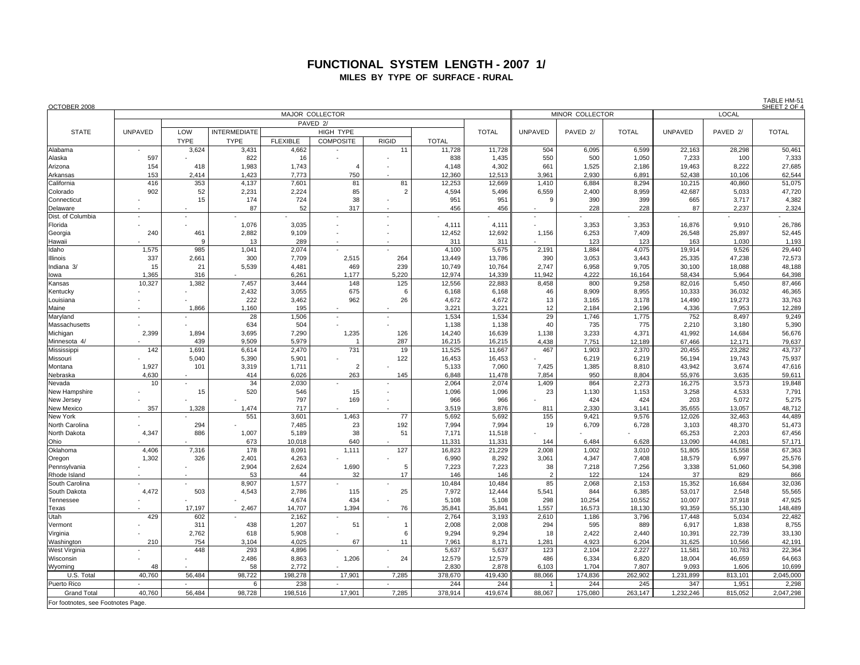## **FUNCTIONAL SYSTEM LENGTH - 2007 1/ MILES BY TYPE OF SURFACE - RURAL**

| OCTOBER 2008                      |              |                     |                     |                 |                         |                |                  |                  |                          |                     |                 |                  |                     | TABLE HM-51<br>SHEET 2 OF 4 |
|-----------------------------------|--------------|---------------------|---------------------|-----------------|-------------------------|----------------|------------------|------------------|--------------------------|---------------------|-----------------|------------------|---------------------|-----------------------------|
|                                   |              |                     |                     |                 | MAJOR COLLECTOR         |                |                  |                  |                          | MINOR COLLECTOR     |                 |                  |                     |                             |
|                                   |              |                     |                     |                 | PAVED 2/                |                |                  |                  |                          |                     |                 |                  |                     |                             |
| <b>STATE</b>                      | UNPAVED      | LOW                 | <b>INTERMEDIATE</b> |                 | <b>HIGH TYPE</b>        |                |                  | <b>TOTAL</b>     | <b>UNPAVED</b>           | PAVED <sub>2/</sub> | <b>TOTAL</b>    | <b>UNPAVED</b>   | PAVED <sub>2/</sub> | <b>TOTAL</b>                |
|                                   |              | <b>TYPE</b>         | <b>TYPE</b>         | <b>FLEXIBLE</b> | <b>COMPOSITE</b>        | <b>RIGID</b>   | <b>TOTAL</b>     |                  |                          |                     |                 |                  |                     |                             |
| Alabama                           |              | 3,624               | 3,431               | 4,662           |                         | 11             | 11,728           | 11,728           | 504                      | 6,095               | 6,599           | 22,163           | 28,298              | 50,461                      |
| Alaska<br>Arizona                 | 597<br>154   | 418                 | 822<br>1,983        | 16<br>1,743     |                         |                | 838<br>4,148     | 1,435<br>4,302   | 550<br>661               | 500<br>1,525        | 1,050<br>2,186  | 7,233<br>19,463  | 100<br>8,222        | 7,333<br>27,685             |
| Arkansas                          | 153          | 2.414               | 1,423               | 7,773           | 750                     |                | 12,360           | 12,513           | 3,961                    | 2,930               | 6,891           | 52,438           | 10,106              | 62,544                      |
| California                        | 416          | 353                 | 4,137               | 7,601           | 81                      | 81             | 12.253           | 12,669           | 1.410                    | 6,884               | 8.294           | 10,215           | 40,860              | 51,075                      |
| Colorado                          | 902          | 52                  | 2,231               | 2,224           | 85                      | $\overline{2}$ | 4,594            | 5,496            | 6,559                    | 2,400               | 8,959           | 42,687           | 5,033               | 47,720                      |
| Connecticut                       |              | 15                  | 174                 | 724             | 38                      |                | 951              | 951              | 9                        | 390                 | 399             | 665              | 3,717               | 4,382                       |
| Delaware                          |              |                     | 87                  | 52              | 317                     |                | 456              | 456              |                          | 228                 | 228             | 87               | 2,237               | 2,324                       |
| Dist. of Columbia                 |              |                     |                     |                 |                         |                |                  |                  | $\overline{\phantom{a}}$ |                     |                 |                  |                     |                             |
| Florida                           |              |                     | 1,076               | 3,035           |                         |                | 4,111            | 4,111            |                          | 3,353               | 3,353           | 16,876           | 9,910               | 26,786                      |
| Georgia                           | 240          | 461                 | 2,882               | 9,109           |                         |                | 12,452           | 12,692           | 1,156                    | 6,253               | 7,409           | 26,548           | 25,897              | 52,445                      |
| Hawaii                            |              | $\mathbf{Q}$<br>985 | 13                  | 289             |                         |                | 311              | 311              |                          | 123                 | 123<br>4,075    | 163              | 1,030               | 1,193<br>29,440             |
| Idaho<br>Ilinois                  | 1,575<br>337 | 2,661               | 1,041<br>300        | 2,074<br>7,709  | 2,515                   | 264            | 4,100<br>13,449  | 5,675<br>13,786  | 2,191<br>390             | 1,884<br>3,053      | 3,443           | 19,914<br>25,335 | 9,526<br>47,238     | 72,573                      |
| Indiana 3/                        | 15           | 21                  | 5,539               | 4,481           | 469                     | 239            | 10,749           | 10,764           | 2,747                    | 6,958               | 9,705           | 30,100           | 18,088              | 48,188                      |
| lowa                              | 1,365        | 316                 |                     | 6,261           | 1,177                   | 5,220          | 12,974           | 14,339           | 11.942                   | 4,222               | 16,164          | 58.434           | 5.964               | 64,398                      |
| Kansas                            | 10,327       | 1,382               | 7,457               | 3,444           | 148                     | 125            | 12,556           | 22,883           | 8,458                    | 800                 | 9,258           | 82,016           | 5,450               | 87,466                      |
| Kentucky                          |              |                     | 2,432               | 3,055           | 675                     | 6              | 6,168            | 6,168            | 46                       | 8,909               | 8,955           | 10,333           | 36,032              | 46,365                      |
| Louisiana                         |              |                     | 222                 | 3,462           | 962                     | 26             | 4,672            | 4,672            | 13                       | 3,165               | 3,178           | 14,490           | 19,273              | 33,763                      |
| Maine                             |              | 1.866               | 1,160               | 195             |                         |                | 3,221            | 3,221            | 12                       | 2,184               | 2,196           | 4,336            | 7,953               | 12,289                      |
| Maryland                          |              |                     | 28                  | 1,506           |                         |                | 1,534            | 1,534            | 29                       | 1,746               | 1,775           | 752              | 8,497               | 9,249                       |
| Massachusetts                     |              |                     | 634                 | 504             |                         |                | 1,138            | 1,138            | 40                       | 735<br>3,233        | 775             | 2,210            | 3,180               | 5,390                       |
| Michigan<br>Minnesota 4/          | 2,399        | 1,894<br>439        | 3,695<br>9,509      | 7,290<br>5,979  | 1,235<br>$\overline{1}$ | 126<br>287     | 14,240<br>16,215 | 16,639<br>16,215 | 1,138<br>4,438           | 7,751               | 4,371<br>12,189 | 41,992<br>67,466 | 14,684<br>12,171    | 56,676<br>79,637            |
| Mississippi                       | 142          | 1,691               | 6,614               | 2,470           | 731                     | 19             | 11,525           | 11,667           | 467                      | 1,903               | 2,370           | 20,455           | 23,282              | 43,737                      |
| Missouri                          |              | 5.040               | 5,390               | 5,901           |                         | 122            | 16,453           | 16,453           |                          | 6,219               | 6,219           | 56,194           | 19,743              | 75,937                      |
| Montana                           | 1,927        | 101                 | 3,319               | 1,711           | $\overline{2}$          |                | 5,133            | 7,060            | 7,425                    | 1,385               | 8,810           | 43,942           | 3,674               | 47,616                      |
| Nebraska                          | 4,630        |                     | 414                 | 6.026           | 263                     | 145            | 6,848            | 11,478           | 7,854                    | 950                 | 8.804           | 55.976           | 3,635               | 59,611                      |
| Nevada                            | 10           |                     | 34                  | 2,030           |                         |                | 2,064            | 2,074            | 1,409                    | 864                 | 2,273           | 16,275           | 3,573               | 19,848                      |
| New Hampshire                     |              | 15                  | 520                 | 546             | 15                      |                | 1,096            | 1,096            | 23                       | 1,130               | 1,153           | 3,258            | 4,533               | 7,791                       |
| New Jersey                        |              |                     |                     | 797             | 169                     |                | 966              | 966              |                          | 424                 | 424             | 203              | 5,072               | 5,275                       |
| New Mexico                        | 357          | 1,328               | 1.474<br>551        | 717<br>3,601    |                         | 77             | 3.519<br>5,692   | 3.876<br>5,692   | 811<br>155               | 2,330<br>9,421      | 3.141<br>9,576  | 35,655<br>12,026 | 13,057<br>32,463    | 48,712<br>44,489            |
| New York<br>North Carolina        |              | 294                 |                     | 7,485           | 1,463<br>23             | 192            | 7,994            | 7,994            | 19                       | 6,709               | 6,728           | 3,103            | 48,370              | 51,473                      |
| North Dakota                      | 4,347        | 886                 | 1,007               | 5,189           | 38                      | 51             | 7,171            | 11,518           |                          |                     |                 | 65,253           | 2,203               | 67,456                      |
| Ohio                              |              |                     | 673                 | 10,018          | 640                     |                | 11,331           | 11,331           | 144                      | 6,484               | 6,628           | 13,090           | 44,081              | 57,171                      |
| Oklahoma                          | 4,406        | 7,316               | 178                 | 8,091           | 1,111                   | 127            | 16,823           | 21,229           | 2,008                    | 1,002               | 3,010           | 51,805           | 15,558              | 67,363                      |
| Oregon                            | 1,302        | 326                 | 2,401               | 4,263           |                         |                | 6,990            | 8,292            | 3,061                    | 4,347               | 7,408           | 18,579           | 6,997               | 25,576                      |
| Pennsylvania                      |              |                     | 2,904               | 2,624           | 1,690                   | 5              | 7,223            | 7.223            | 38                       | 7,218               | 7,256           | 3,338            | 51,060              | 54,398                      |
| Rhode Island                      |              |                     | 53                  | 44              | 32                      | 17             | 146              | 146              | $\overline{2}$           | 122                 | 124             | 37               | 829                 | 866                         |
| South Carolina<br>South Dakota    | $\sim$       | 503                 | 8,907               | 1,577<br>2,786  | 115                     | 25             | 10,484<br>7,972  | 10,484           | 85                       | 2,068<br>844        | 2,153<br>6,385  | 15,352<br>53,017 | 16,684              | 32,036<br>55,565            |
| Tennessee                         | 4,472        |                     | 4,543               | 4,674           | 434                     |                | 5,108            | 12,444<br>5,108  | 5,541<br>298             | 10,254              | 10,552          | 10,007           | 2,548<br>37,918     | 47,925                      |
| Texas                             |              | 17,197              | 2,467               | 14,707          | 1,394                   | 76             | 35,841           | 35,841           | 1,557                    | 16,573              | 18,130          | 93,359           | 55,130              | 148,489                     |
| Utah                              | 429          | 602                 |                     | 2,162           |                         |                | 2,764            | 3,193            | 2,610                    | 1,186               | 3,796           | 17,448           | 5,034               | 22,482                      |
| Vermont                           |              | 311                 | 438                 | 1,207           | 51                      | $\overline{1}$ | 2,008            | 2,008            | 294                      | 595                 | 889             | 6,917            | 1,838               | 8,755                       |
| Virginia                          |              | 2,762               | 618                 | 5,908           |                         | 6              | 9,294            | 9,294            | 18                       | 2,422               | 2,440           | 10,391           | 22,739              | 33,130                      |
| Washington                        | 210          | 754                 | 3,104               | 4,025           | 67                      | 11             | 7,961            | 8,171            | 1,281                    | 4,923               | 6,204           | 31,625           | 10,566              | 42,191                      |
| West Virginia                     |              | 448                 | 293                 | 4,896           |                         |                | 5,637            | 5,637            | 123                      | 2,104               | 2,227           | 11,581           | 10,783              | 22,364                      |
| Wisconsin                         |              |                     | 2,486               | 8,863           | 1,206                   | 24             | 12,579           | 12,579           | 486                      | 6,334               | 6,820           | 18,004           | 46,659              | 64,663                      |
| Wyoming                           | 48           |                     | 58                  | 2,772           |                         |                | 2,830            | 2,878            | 6,103                    | 1,704               | 7,807           | 9,093            | 1,606               | 10,699                      |
| U.S. Total<br>Puerto Rico         | 40.760       | 56.484              | 98,722<br>ĥ         | 198.278<br>238  | 17,901                  | 7.285          | 378,670<br>244   | 419,430<br>244   | 88.066                   | 174,836<br>244      | 262.902<br>245  | 1,231,899<br>347 | 813,101<br>1,951    | 2,045,000<br>2,298          |
| <b>Grand Total</b>                | 40.760       | 56.484              | 98,728              | 198,516         | 17,901                  | 7.285          | 378,914          | 419,674          | 88,067                   | 175,080             | 263,147         | 1,232,246        | 815,052             | 2,047,298                   |
| For footnotes, see Footnotes Page |              |                     |                     |                 |                         |                |                  |                  |                          |                     |                 |                  |                     |                             |
|                                   |              |                     |                     |                 |                         |                |                  |                  |                          |                     |                 |                  |                     |                             |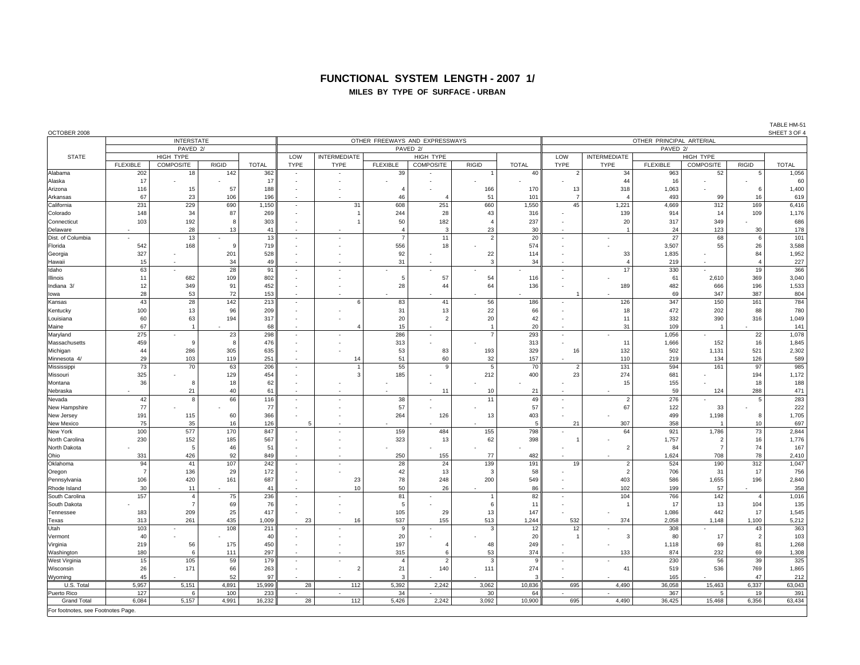### **FUNCTIONAL SYSTEM LENGTH - 2007 1/**

#### **MILES BY TYPE OF SURFACE - URBAN**

| OCTOBER 2008                       |                 |                   |        |              |                          |                          |                                |                          |                |                          |                          |                          |                 |                          |                | SHEET 3 OF 4 |  |  |
|------------------------------------|-----------------|-------------------|--------|--------------|--------------------------|--------------------------|--------------------------------|--------------------------|----------------|--------------------------|--------------------------|--------------------------|-----------------|--------------------------|----------------|--------------|--|--|
|                                    |                 | <b>INTERSTATE</b> |        |              |                          |                          | OTHER FREEWAYS AND EXPRESSWAYS |                          |                | OTHER PRINCIPAL ARTERIAL |                          |                          |                 |                          |                |              |  |  |
|                                    |                 | PAVED 2/          |        |              |                          |                          | PAVED 2/                       |                          |                | PAVED <sub>2/</sub>      |                          |                          |                 |                          |                |              |  |  |
| <b>STATE</b>                       |                 | HIGH TYPE         |        |              | LOW                      | <b>INTERMEDIATE</b>      |                                | HIGH TYPE                |                |                          | LOW                      | INTERMEDIATE             |                 | HIGH TYPE                |                |              |  |  |
|                                    | <b>FLEXIBLE</b> | <b>COMPOSITE</b>  | RIGID  | <b>TOTAL</b> | <b>TYPE</b>              | <b>TYPE</b>              | <b>FLEXIBLE</b>                | <b>COMPOSITE</b>         | <b>RIGID</b>   | <b>TOTAL</b>             | <b>TYPE</b>              | <b>TYPE</b>              | <b>FLEXIBLE</b> | <b>COMPOSITE</b>         | <b>RIGID</b>   | <b>TOTAL</b> |  |  |
| Alabama                            | 202             | 18                | 142    | 362          |                          |                          | 39                             |                          |                | 40                       | $\overline{\mathbf{c}}$  | 34                       | 963             | 52                       | 5              | 1,056        |  |  |
| Alaska                             | 17              |                   |        | 17           | $\overline{a}$           |                          |                                |                          |                |                          |                          | 44                       | 16              |                          |                | 60           |  |  |
| Arizona                            | 116             | 15                | 57     | 188          |                          |                          | $\overline{4}$                 |                          | 166            | 170                      | 13                       | 318                      | 1,063           |                          | 6              | 1,400        |  |  |
| Arkansas                           | 67              | 23                | 106    | 196          |                          |                          | 46                             |                          | 51             | 101                      | $\overline{7}$           |                          | 493             | 99                       | 16             | 619          |  |  |
| California                         | 231             | 229               | 690    | 1,150        | ٠                        | 31                       | 608                            | 251                      | 660            | 1,550                    | 45                       | 1,221                    | 4,669           | 312                      | 169            | 6,416        |  |  |
| Colorado                           | 148             | 34                | 87     | 269          |                          | $\overline{1}$           | 244                            | 28                       | 43             | 316                      |                          | 139                      | 914             | 14                       | 109            | 1,176        |  |  |
| Connecticut                        | 103             | 192               | 8      | 303          |                          | $\overline{1}$           | 50                             | 182                      | $\epsilon$     | 237                      |                          | 20                       | 317             | 349                      |                | 686          |  |  |
| Delaware                           |                 | 28                | 13     | 41           |                          |                          | $\overline{4}$                 | $\mathbf{3}$             | 23             | 30                       |                          |                          | 24              | 123                      | 30             | 178          |  |  |
| Dist. of Columbia                  |                 | 13                |        | 13           | ×.                       |                          | $\overline{7}$                 | 11                       | $\overline{2}$ | 20                       | $\overline{\phantom{a}}$ | $\overline{\phantom{a}}$ | 27              | 68                       | 6              | 101          |  |  |
| Florida                            | 542             | 168               | $_{9}$ | 719          | ÷.                       |                          | 556                            | 18                       |                | 574                      |                          |                          | 3,507           | 55                       | 26             | 3,588        |  |  |
| Georgia                            | 327             |                   | 201    | 528          |                          |                          | 92                             |                          | 22             | 114                      |                          | 33                       | 1,835           |                          | 84             | 1,952        |  |  |
| Hawaii                             | 15              |                   | 34     | 49           | $\overline{a}$           |                          | 31                             |                          | ß              | 34                       |                          |                          | 219             | $\overline{\phantom{a}}$ | $\overline{4}$ | 227          |  |  |
| Idaho                              | 63              |                   | 28     | 91           | $\sim$                   |                          |                                |                          |                |                          |                          | 17                       | 330             | $\sim$                   | 19             | 366          |  |  |
| Illinois                           | 11              | 682               | 109    | 802          |                          |                          | 5                              | 57                       | 54             | 116                      |                          |                          | 61              | 2,610                    | 369            | 3,040        |  |  |
| Indiana 3/                         | 12              | 349               | 91     | 452          | $\overline{\phantom{a}}$ |                          | 28                             | 44                       | 64             | 136                      |                          | 189                      | 482             | 666                      | 196            | 1,533        |  |  |
| lowa                               | 28              | 53                | 72     | 153          |                          |                          |                                |                          |                |                          |                          |                          | 69              | 347                      | 387            | 804          |  |  |
| Kansas                             | 43              | 28                | 142    | 213          | $\sim$                   | 6                        | 83                             | 41                       | 56             | 186                      | ×.                       | 126                      | 347             | 150                      | 161            | 784          |  |  |
| Kentucky                           | 100             | 13                | 96     | 209          | $\overline{a}$           |                          | 31                             | 13                       | 22             | 66                       |                          | 18                       | 472             | 202                      | 88             | 780          |  |  |
| Louisiana                          | 60              | 63                | 194    | 317          | $\overline{\phantom{a}}$ |                          | 20                             | $\mathcal{P}$            | 20             | 42                       |                          | 11                       | 332             | 390                      | 316            | 1,049        |  |  |
| Maine                              | 67              |                   |        | 68           |                          |                          | 15                             |                          |                | 20                       |                          | 31                       | 109             |                          |                | 141          |  |  |
| Maryland                           | 275             |                   | 23     | 298          | $\overline{\phantom{a}}$ |                          | 286                            | $\overline{\phantom{a}}$ |                | 293                      | $\overline{\phantom{a}}$ |                          | 1,056           | $\overline{\phantom{a}}$ | 22             | 1,078        |  |  |
| Massachusetts                      | 459             |                   | 8      | 476          | ÷,                       |                          | 313                            |                          |                | 313                      |                          | 11                       | 1,666           | 152                      | 16             | 1,845        |  |  |
| Michigan                           | 44              | 286               | 305    | 635          | ÷,                       |                          | 53                             | 83                       | 193            | 329                      | 16                       | 132                      | 502             | 1,131                    | 521            | 2,302        |  |  |
| Minnesota 4/                       | 29              | 103               | 119    | 251          | ×.                       | 14                       | 51                             | 60                       | 32             | 157                      | $\overline{\phantom{a}}$ | 110                      | 219             | 134                      | 126            | 589          |  |  |
| Mississippi                        | 73              | 70                | 63     | 206          | $\sim$                   | $\overline{1}$           | 55                             |                          | 5              | 70                       | $\overline{2}$           | 131                      | 594             | 161                      | 97             | 985          |  |  |
| Missouri                           | 325             |                   | 129    | 454          |                          | $\mathbf{3}$             | 185                            |                          | 212            | 400                      | 23                       | 274                      | 681             |                          | 194            | 1,172        |  |  |
| Montana                            | 36              | 8                 | 18     | 62           | ÷,                       |                          |                                |                          |                |                          |                          | 15                       | 155             |                          | 18             | 188          |  |  |
| Nebraska                           |                 | 21                | 40     | 61           |                          |                          |                                | 11                       | 10             | 21                       |                          |                          | 59              | 124                      | 288            | 471          |  |  |
| Nevada                             | 42              | 8                 | 66     | 116          | $\overline{\phantom{a}}$ | $\overline{\phantom{a}}$ | 38                             |                          | 11             | 49                       | $\overline{\phantom{a}}$ | $\overline{2}$           | 276             |                          | 5              | 283          |  |  |
| New Hampshire                      | 77              |                   |        | 77           | $\overline{a}$           |                          | 57                             |                          |                | 57                       |                          | 67                       | 122             | 33                       |                | 222          |  |  |
| New Jersey                         | 191             | 115               | 60     | 366          | ÷.                       | $\overline{\phantom{a}}$ | 264                            | 126                      | 13             | 403                      |                          |                          | 499             | 1,198                    | 8              | 1,705        |  |  |
| New Mexico                         | 75              | 35                | 16     | 126          |                          |                          |                                |                          |                | 5                        | 21                       | 307                      | 358             |                          | 10             | 697          |  |  |
| New York                           | 100             | 577               | 170    | 847          | $\overline{\phantom{a}}$ |                          | 159                            | 484                      | 155            | 798                      |                          | 64                       | 921             | 1,786                    | 73             | 2,844        |  |  |
| North Carolina                     | 230             | 152               | 185    | 567          |                          |                          | 323                            | 13                       | 62             | 398                      |                          |                          | 1,757           | $\overline{2}$           | 16             | 1,776        |  |  |
| North Dakota                       |                 | 5                 | 46     | 51           | ÷,                       |                          |                                |                          |                |                          |                          | $\overline{2}$           | 84              | $\overline{7}$           | 74             | 167          |  |  |
| Ohio                               | 331             | 426               | 92     | 849          |                          |                          | 250                            | 155                      | 77             | 482                      |                          |                          | 1,624           | 708                      | 78             | 2,410        |  |  |
| Oklahoma                           | 94              | 41                | 107    | 242          | $\overline{\phantom{a}}$ |                          | 28                             | 24                       | 139            | 191                      | 19                       | $\overline{2}$           | 524             | 190                      | 312            | 1,047        |  |  |
| Oregon                             | $\overline{7}$  | 136               | 29     | 172          |                          |                          | 42                             | 13                       | -3             | 58                       |                          | $\overline{2}$           | 706             | 31                       | 17             | 756          |  |  |
| Pennsylvania                       | 106             | 420               | 161    | 687          |                          | 23                       | 78                             | 248                      | 200            | 549                      |                          | 403                      | 586             | 1,655                    | 196            | 2,840        |  |  |
| Rhode Island                       | 30              | 11                |        | 41           |                          | 10                       | 50                             | 26                       |                | 86                       |                          | 102                      | 199             | 57                       |                | 358          |  |  |
| South Carolina                     | 157             | $\overline{4}$    | 75     | 236          | ٠                        |                          | 81                             | ٠                        |                | 82                       | ×.                       | 104                      | 766             | 142                      | $\overline{4}$ | 1,016        |  |  |
| South Dakota                       |                 | $\overline{7}$    | 69     | 76           |                          |                          | 5                              |                          |                | 11                       |                          |                          | 17              | 13                       | 104            | 135          |  |  |
| Tennessee                          | 183             | 209               | 25     | 417          |                          |                          | 105                            | 29                       | 13             | 147                      |                          |                          | 1,086           | 442                      | 17             | 1,545        |  |  |
| Texas                              | 313             | 261               | 435    | 1,009        | 23                       | 16                       | 537                            | 155                      | 513            | 1,244                    | 532                      | 374                      | 2,058           | 1,148                    | 1,100          | 5,212        |  |  |
| Utah                               | 103             | $\sim$            | 108    | 211          | ×.                       |                          | 9                              |                          | э              | 12                       | 12                       |                          | 308             |                          | 43             | 363          |  |  |
| Vermont                            | 40              |                   |        | 40           |                          |                          | 20                             |                          |                | 20                       |                          | 3                        | 80              | 17                       | $\overline{2}$ | 103          |  |  |
| Virginia                           | 219             | 56                | 175    | 450          |                          |                          | 197                            |                          | 48             | 249                      |                          |                          | 1,118           | 69                       | 81             | 1,268        |  |  |
| Washington                         | 180             | -6                | 111    | 297          |                          |                          | 315                            |                          | 53             | 374                      | $\overline{\phantom{a}}$ | 133                      | 874             | 232                      | 69             | 1,308        |  |  |
| West Virginia                      | 15              | 105               | 59     | 179          | ÷                        |                          | $\overline{4}$                 | $\overline{2}$           | -3             | 9                        | ÷                        |                          | 230             | 56                       | 39             | 325          |  |  |
| Wisconsin                          | 26              | 171               | 66     | 263          | $\overline{\phantom{a}}$ | $\overline{2}$           | 21                             | 140                      | 111            | 274                      | ٠                        | 41                       | 519             | 536                      | 769            | 1,865        |  |  |
| Wyoming                            | 45              |                   | 52     | 97           |                          |                          | 3                              |                          |                |                          |                          |                          | 165             |                          | 47             | 212          |  |  |
| U.S. Total                         | 5,957           | 5,151             | 4,891  | 15,999       | 28                       | 112                      | 5,392                          | 2,242                    | 3,062          | 10,836                   | 695                      | 4,490                    | 36,058          | 15,463                   | 6,337          | 63,043       |  |  |
| Puerto Rico                        | 127             | 6                 | 100    | 233          |                          |                          | 34                             |                          | 30             | 64                       |                          |                          | 367             | 5                        | 19             | 391          |  |  |
| <b>Grand Total</b>                 | 6,084           | 5,157             | 4,991  | 16,232       | 28                       | 112                      | 5,426                          | 2,242                    | 3,092          | 10,900                   | 695                      | 4,490                    | 36,425          | 15,468                   | 6,356          | 63,434       |  |  |
| For footnotes, see Footnotes Page. |                 |                   |        |              |                          |                          |                                |                          |                |                          |                          |                          |                 |                          |                |              |  |  |

TABLE HM-51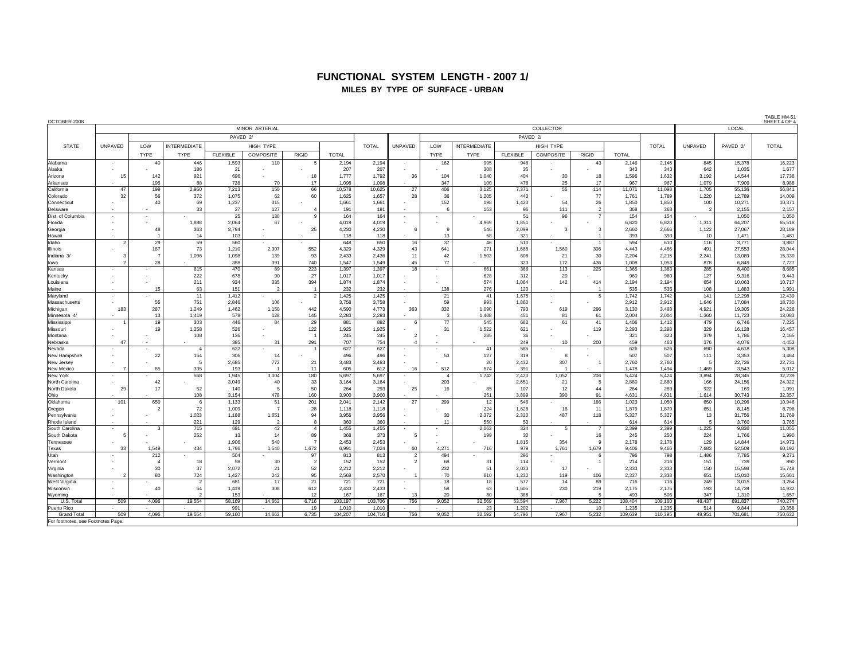## **FUNCTIONAL SYSTEM LENGTH - 2007 1/ MILES BY TYPE OF SURFACE - URBAN**

| OCTOBER 2008                       |                                                           |                |                          |                 |                          |                          |                |                |                          |                     |                     |                 |                         |                |                |                |               |                 | <u>IADIE FIVE</u><br>SHEET 4 OF 4 |  |  |  |
|------------------------------------|-----------------------------------------------------------|----------------|--------------------------|-----------------|--------------------------|--------------------------|----------------|----------------|--------------------------|---------------------|---------------------|-----------------|-------------------------|----------------|----------------|----------------|---------------|-----------------|-----------------------------------|--|--|--|
|                                    |                                                           |                |                          |                 | MINOR ARTERIAL           |                          |                |                | COLLECTOR                |                     |                     |                 |                         |                |                |                |               | LOCAL           |                                   |  |  |  |
|                                    |                                                           |                |                          | PAVED 2/        |                          |                          |                |                |                          |                     |                     | PAVED 2/        |                         |                |                |                |               |                 |                                   |  |  |  |
| <b>STATE</b>                       | UNPAVED<br>LOW<br><b>INTERMEDIATE</b><br><b>HIGH TYPE</b> |                |                          |                 |                          |                          |                | <b>TOTAL</b>   | UNPAVED                  | LOW                 | <b>INTERMEDIATE</b> |                 | HIGH TYPE               |                |                | <b>TOTAL</b>   | UNPAVED       | PAVED 2/        | <b>TOTAL</b>                      |  |  |  |
|                                    |                                                           |                |                          |                 |                          |                          |                |                |                          |                     |                     |                 |                         |                |                |                |               |                 |                                   |  |  |  |
|                                    |                                                           | <b>TYPE</b>    | TYPE                     | <b>FLEXIBLE</b> | COMPOSITE                | <b>RIGID</b>             | <b>TOTAL</b>   |                |                          | <b>TYPE</b>         | <b>TYPE</b>         | <b>FLEXIBLE</b> | <b>COMPOSITE</b>        | <b>RIGID</b>   | <b>TOTAL</b>   |                |               |                 |                                   |  |  |  |
| Alabama                            | $\sim$                                                    | 40             | 446                      | 1,593           | 110                      | 5                        | 2,194          | 2,194<br>207   |                          | 162                 | 995                 | 946             |                         | 43             | 2,146          | 2,146<br>343   | 845           | 15,378          | 16,223                            |  |  |  |
| Alaska<br>Arizona                  | 15                                                        | 142            | 186<br>921               | 21<br>696       |                          | 18                       | 207<br>1,777   | 1,792          | 36                       | 104                 | 308<br>1,040        | 35<br>404       | 30                      | 18             | 343<br>1,596   | 1,632          | 642<br>3,192  | 1,035<br>14.544 | 1,677<br>17,736                   |  |  |  |
| Arkansas                           |                                                           | 195            | 88                       | 728             | 70                       | 17                       | 1.098          | 1.098          |                          | 347                 | 100                 | 478             | 25                      | 17             | 967            | 967            | 1.079         | 7.909           | 8,988                             |  |  |  |
| California                         | 47                                                        | 199            | 2,950                    | 7,213           | 150                      | 66                       | 10,578         | 10,625         | 27                       | 406                 | 3,125               | 7,371           | 55                      | 114            | 11,071         | 11,098         | 1,705         | 55,136          | 56,841                            |  |  |  |
| Colorado                           | 32                                                        | 56             | 372                      | 1,075           | 62                       | 60                       | 1,625          | 1,657          | 28                       | 36                  | 1,205               | 443             |                         | 77             | 1,761          | 1,789          | 1,220         | 12,789          | 14,009                            |  |  |  |
| Connecticut                        |                                                           | 40             | 69                       | 1,237           | 315                      |                          | 1,661          | 1,661          |                          | 152                 | 198                 | 1,420           | 54                      | 26             | 1,850          | 1,850          | 100           | 10,271          | 10,371                            |  |  |  |
| Delaware                           |                                                           |                | 33                       | 27              | 127                      |                          | 191            | 191            |                          |                     | 153                 | 96              | 111                     | $\mathfrak{p}$ | 368            | 368            | $\mathcal{P}$ | 2.155           | 2,157                             |  |  |  |
| Dist. of Columbia                  |                                                           |                |                          | 25              | 130                      | $\mathbf{g}$             | 164            | 164            | $\overline{\phantom{a}}$ |                     |                     | 51              | 96                      | $\overline{7}$ | 154            | 154            |               | 1,050           | 1,050                             |  |  |  |
| Florida                            |                                                           |                | 1,888                    | 2,064           | 67                       |                          | 4,019          | 4,019          |                          |                     | 4,969               | 1,851           |                         |                | 6,820          | 6,820          | 1,311         | 64,207          | 65,518                            |  |  |  |
| Georgia                            |                                                           | 48             | 363                      | 3,794           |                          | 25                       | 4,230          | 4,230          | -6                       | 9                   | 546                 | 2,099           | $\overline{\mathbf{3}}$ | 3              | 2,660          | 2,666          | 1,122         | 27,067          | 28,189                            |  |  |  |
| Hawaii                             |                                                           |                | 14                       | 103             |                          | i.                       | 118            | 118            |                          | 13                  | 58                  | 321             | ÷.                      |                | 393            | 393            | 10            | 1,471           | 1,481                             |  |  |  |
| Idaho                              | $\overline{2}$                                            | 29             | 59                       | 560             |                          |                          | 648            | 650            | 16                       | 37                  | 46                  | 510             |                         |                | 594            | 610            | 116           | 3,771           | 3,887                             |  |  |  |
| Illinois                           |                                                           | 187            | 73                       | 1.210           | 2.307                    | 552                      | 4,329          | 4.329          | 43                       | 641                 | 271                 | 1,665           | 1,560                   | 306            | 4.443          | 4.486          | 491           | 27.553          | 28,044                            |  |  |  |
| Indiana 3/                         | 3                                                         |                | 1.096                    | 1,098           | 139                      | 93                       | 2,433          | 2.436          | 11                       | 42                  | 1,503               | 608             | 21                      | 30             | 2,204          | 2,215          | 2,241         | 13.089          | 15,330                            |  |  |  |
| lowa                               | $\mathfrak{p}$                                            | 28             |                          | 388             | 391                      | 740                      | 1,547          | 1,549          | 45                       | 77                  |                     | 323             | 172                     | 436            | 1,008          | 1,053          | 878           | 6.849           | 7,727                             |  |  |  |
| Kansas                             |                                                           |                | 615                      | 470             | 89                       | 223                      | 1,397          | 1,397          | 18                       |                     | 661                 | 366             | 113                     | 225            | 1,365          | 1,383          | 285           | 8,400           | 8,685                             |  |  |  |
| Kentucky                           |                                                           |                | 222                      | 678             | 90                       | 27                       | 1,017          | 1,017          |                          |                     | 628                 | 312             | 20                      |                | 960            | 960            | 127           | 9,316           | 9,443                             |  |  |  |
| Louisiana                          |                                                           |                | 211                      | 934             | 335                      | 394                      | 1,874          | 1,874          |                          |                     | 574                 | 1,064           | 142                     | 414            | 2,194          | 2,194          | 654           | 10,063          | 10,717                            |  |  |  |
| Maine                              |                                                           | 15             | 63                       | 151             | $\overline{\phantom{a}}$ |                          | 232            | 232            |                          | 138                 | 276                 | 120             |                         |                | 535            | 535            | 108           | 1,883           | 1,991                             |  |  |  |
| Maryland                           | $\sim$                                                    |                | 11                       | 1,412           | $\sim$                   | 2                        | 1,425          | 1.425          | $\sim$                   | 21                  | 41                  | 1,675           | ÷.                      | 5              | 1.742          | 1.742          | 141           | 12.298          | 12,439                            |  |  |  |
| Massachusetts                      |                                                           | 55             | 751                      | 2.846           | 106                      |                          | 3,758          | 3,758          |                          | 59                  | 993                 | 1,860           |                         |                | 2.912          | 2,912          | 1.646         | 17.084          | 18,730                            |  |  |  |
| Michigan                           | 183                                                       | 287<br>13      | 1,249                    | 1,462           | 1,150                    | 442<br>145               | 4,590<br>2,283 | 4,773          | 363                      | 332<br>$\mathbf{3}$ | 1,090               | 793             | 619<br>81               | 296            | 3,130          | 3,493          | 4,921         | 19.305          | 24,226<br>13,083                  |  |  |  |
| Minnesota<br>Mississippi           |                                                           | 19             | 1,419<br>303             | 578<br>446      | 128<br>84                | 29                       | 881            | 2,283<br>882   | 6                        | 77                  | 1,408<br>545        | 451<br>682      | 61                      | 61<br>41       | 2,004<br>1,406 | 2,004<br>1,412 | 1,360<br>479  | 11,723<br>6,746 | 7,225                             |  |  |  |
| Missouri                           |                                                           | 19             | 1,258                    | 526             |                          | 122                      | 1,925          | 1.925          |                          | 31                  | 1,522               | 621             |                         | 119            | 2,293          | 2,293          | 329           | 16,128          | 16,457                            |  |  |  |
| Montana                            |                                                           |                | 108                      | 136             |                          | -1                       | 245            | 245            | $\overline{\phantom{a}}$ |                     | 285                 | 36              |                         |                | 321            | 323            | 379           | 1,786           | 2,165                             |  |  |  |
| Nebraska                           | 47                                                        |                |                          | 385             | 31                       | 291                      | 707            | 754            | $\Delta$                 |                     |                     | 249             | 10                      | 200            | 459            | 463            | 376           | 4.076           | 4,452                             |  |  |  |
| Nevada                             |                                                           |                | Δ                        | 622             |                          |                          | 627            | 627            |                          |                     | 41                  | 585             |                         |                | 626            | 626            | 690           | 4,618           | 5,308                             |  |  |  |
| New Hampshire                      |                                                           | 22             | 154                      | 306             | 14                       |                          | 496            | 496            |                          | 53                  | 127                 | 319             | -8                      |                | 507            | 507            | 111           | 3.353           | 3,464                             |  |  |  |
| New Jersey                         |                                                           |                | 5                        | 2,685           | 772                      | 21                       | 3,483          | 3,483          |                          |                     | 20                  | 2,432           | 307                     |                | 2,760          | 2,760          | 5             | 22,726          | 22,731                            |  |  |  |
| New Mexico                         |                                                           | 65             | 335                      | 193             |                          | 11                       | 605            | 612            | 16                       | 512                 | 574                 | 391             |                         |                | 1.478          | 1,494          | 1.469         | 3.543           | 5,012                             |  |  |  |
| New York                           |                                                           |                | 568                      | 1,945           | 3,004                    | 180                      | 5,697          | 5,697          | $\overline{\phantom{a}}$ | $\overline{4}$      | 1,742               | 2,420           | 1,052                   | 206            | 5,424          | 5,424          | 3,894         | 28.345          | 32,239                            |  |  |  |
| North Carolina                     | $\overline{\phantom{a}}$                                  | 42             |                          | 3,049           | 40                       | 33                       | 3,164          | 3,164          |                          | 203                 |                     | 2,651           | 21                      | 5              | 2,880          | 2,880          | 166           | 24,156          | 24,322                            |  |  |  |
| North Dakota                       | 29                                                        | 17             | 52                       | 140             | -5                       | 50                       | 264            | 293            | 25                       | 16                  | 85                  | 107             | 12                      | 44             | 264            | 289            | 922           | 169             | 1,091                             |  |  |  |
| Ohio                               |                                                           |                | 108                      | 3,154           | 478                      | 160                      | 3,900          | 3.900          |                          |                     | 251                 | 3,899           | 390                     | 91             | 4,631          | 4,631          | 1,614         | 30,743          | 32,357                            |  |  |  |
| Oklahoma                           | 101                                                       | 650            | 6                        | 1,133           | 51<br>$\overline{7}$     | 201                      | 2,041          | 2,142          | 27                       | 299                 | 12<br>224           | 546             |                         | 166            | 1,023          | 1,050          | 650           | 10,296          | 10,946                            |  |  |  |
| Oregon                             |                                                           |                | 72<br>1.023              | 1.009           | 1,651                    | 28<br>94                 | 1.118          | 1.118<br>3.956 |                          | 30                  | 2.372               | 1,628           | 16<br>487               | 11<br>118      | 1.879          | 1,879          | 651<br>13     | 8.145<br>31.756 | 8,796                             |  |  |  |
| Pennsylvania<br>Rhode Island       |                                                           |                | 221                      | 1,188<br>129    | $\overline{\phantom{a}}$ | 8                        | 3,956<br>360   | 360            |                          | 11                  | 550                 | 2,320<br>53     |                         |                | 5,327<br>614   | 5,327<br>614   | 5             | 3.760           | 31,769<br>3,765                   |  |  |  |
| South Carolina                     | $\sim$                                                    | $\mathbf{z}$   | 715                      | 691             | 42                       | $\overline{4}$           | 1,455          | 1,455          | ٠                        |                     | 2,063               | 324             | 5                       | $\overline{7}$ | 2,399          | 2,399          | 1,225         | 9,830           | 11,055                            |  |  |  |
| South Dakota                       |                                                           |                | 252                      | 13              | 14                       | 89                       | 368            | 373            | 5                        |                     | 199                 | 30              |                         | 16             | 245            | 250            | 224           | 1,766           | 1,990                             |  |  |  |
| Tennessee                          |                                                           |                |                          | 1,906           | 540                      | $\overline{7}$           | 2,453          | 2,453          |                          |                     |                     | 1,815           | 354                     | 9              | 2,178          | 2,178          | 129           | 14,844          | 14,973                            |  |  |  |
| Texas                              | 33                                                        | 1,549          | 434                      | 1.796           | 1.540                    | 1,672                    | 6,991          | 7,024          | 60                       | 4,271               | 716                 | 979             | 1,761                   | 1,679          | 9.406          | 9,466          | 7.683         | 52.509          | 60,192                            |  |  |  |
| Utah                               |                                                           | 212            |                          | 504             |                          | 97                       | 813            | 813            | $\overline{z}$           | 494                 |                     | 296             | $\sim$                  | 6              | 796            | 798            | 1,486         | 7.785           | 9,271                             |  |  |  |
| Vermont                            |                                                           | $\overline{A}$ | 18                       | 98              | 30                       | $\overline{\phantom{a}}$ | 152            | 152            | $\overline{\phantom{a}}$ | 68                  | 31                  | 114             |                         | $\overline{1}$ | 214            | 216            | 151           | 739             | 890                               |  |  |  |
| Virginia                           |                                                           | 30             | 37                       | 2,072           | 21                       | 52                       | 2,212          | 2,212          | ٠                        | 232                 | 51                  | 2,033           | 17                      |                | 2,333          | 2,333          | 150           | 15,598          | 15,748                            |  |  |  |
| Washington                         |                                                           | 80             | 724                      | 1,427           | 242                      | 95                       | 2,568          | 2,570          |                          | 70                  | 810                 | 1,232           | 119                     | 106            | 2,337          | 2,338          | 651           | 15,010          | 15,661                            |  |  |  |
| <b>West Virginia</b>               |                                                           |                | $\overline{2}$           | 681             | 17                       | 21                       | 721            | 721            | ٠                        | 18                  | 18                  | 577             | 14                      | 89             | 716            | 716            | 249           | 3.015           | 3,264                             |  |  |  |
| Wisconsin                          |                                                           | 40             | 54                       | 1.419           | 308                      | 612                      | 2,433          | 2.433          |                          | 58                  | 63                  | 1,605           | 230                     | 219            | 2,175          | 2.175          | 193           | 14.739          | 14,932                            |  |  |  |
| Wyoming                            |                                                           |                | $\overline{\phantom{0}}$ | 153             |                          | 12                       | 167            | 167            | 13                       | 20                  | 80                  | 388             |                         | 5              | 493            | 506            | 347           | 1.310           | 1,657                             |  |  |  |
| U.S. Total                         | 509                                                       | 4.096          | 19.554                   | 58.169          | 14.662                   | 6.716                    | 103.197        | 103.706        | 756                      | 9.052               | 32.569              | 53,594          | 7.967                   | 5.222          | 108.404        | 109.160        | 48.437        | 691.837         | 740,274                           |  |  |  |
| Puerto Rico                        |                                                           |                |                          | 991             | ٠                        | 19                       | 1,010          | 1,010          |                          |                     | 23                  | 1,202           | $\sim$                  | 10             | 1,235          | 1,235          | 514           | 9.844           | 10,358                            |  |  |  |
| <b>Grand Total</b>                 | 509                                                       | 4.096          | 19,554                   | 59,160          | 14,662                   | 6,735                    | 104,207        | 104,716        | 756                      | 9,052               | 32,592              | 54,796          | 7,967                   | 5,232          | 109,639        | 110,395        | 48,951        | 701,681         | 750,632                           |  |  |  |
| For footnotes, see Footnotes Page. |                                                           |                |                          |                 |                          |                          |                |                |                          |                     |                     |                 |                         |                |                |                |               |                 |                                   |  |  |  |

TABLE HM-51